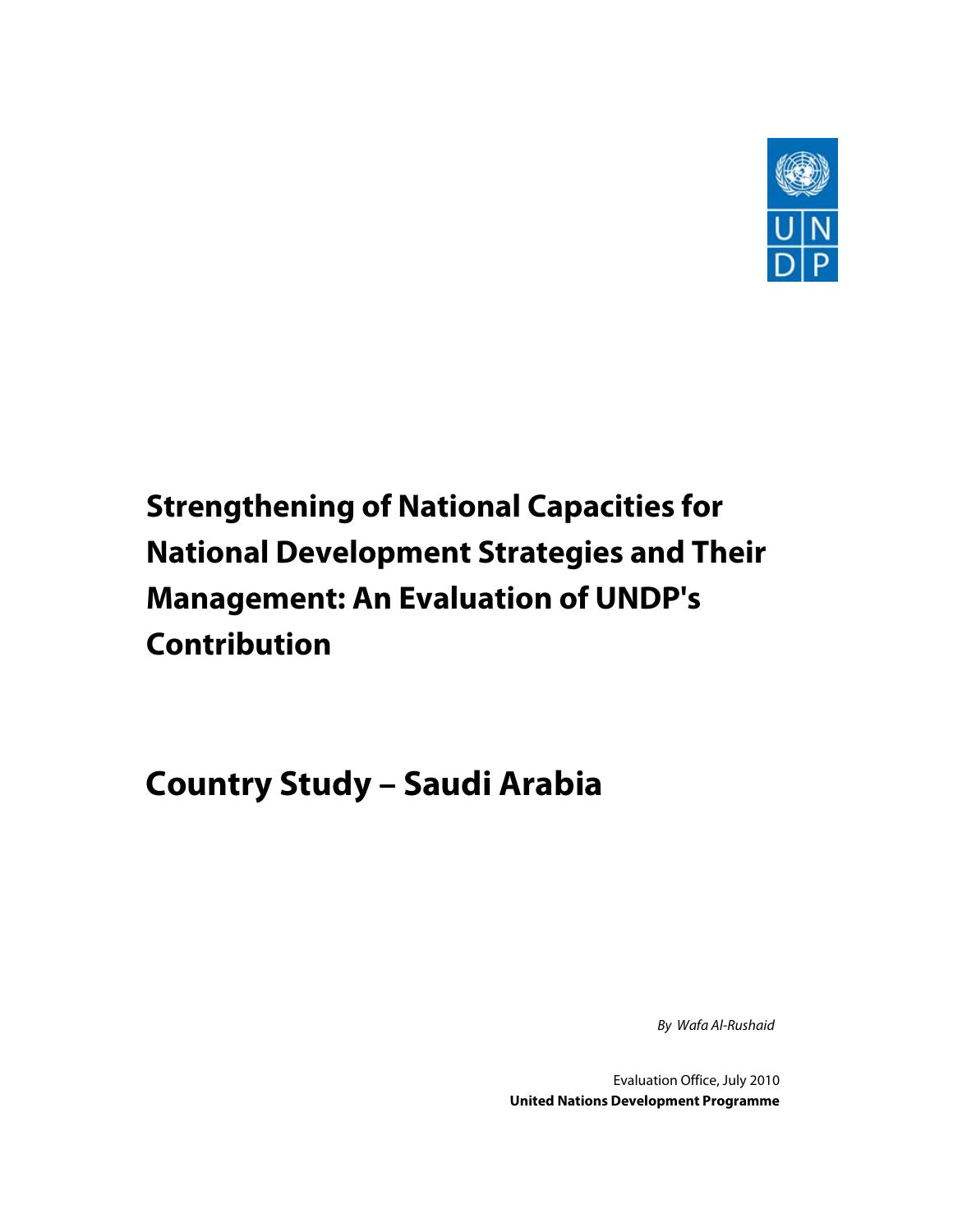

# **Strengthening of National Capacities for National Development Strategies and Their Management: An Evaluation of UNDP's Contribution**

## **Country Study – Saudi Arabia**

By Wafa Al-Rushaid

Evaluation Office, July 2010 **United Nations Development Programme**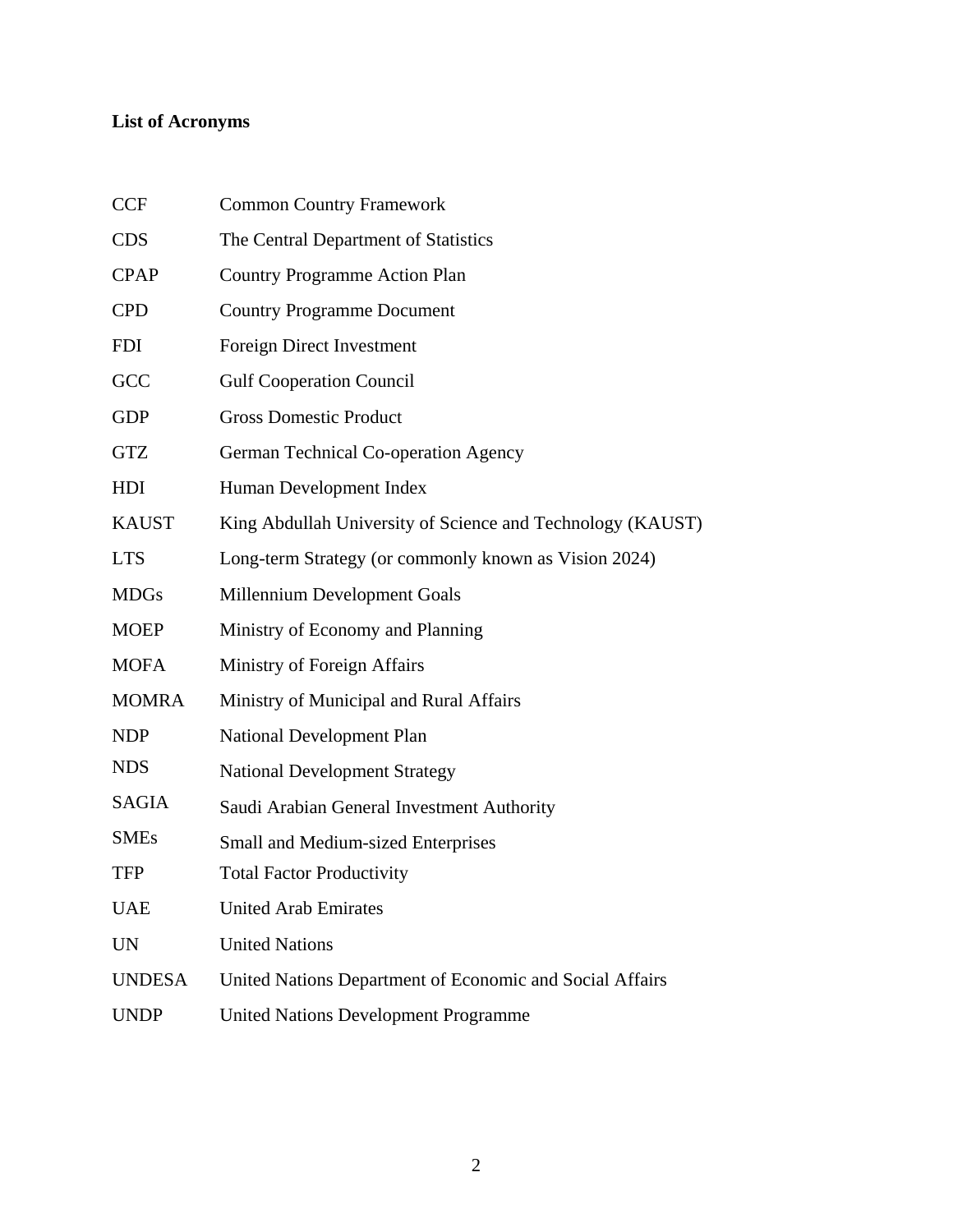## **List of Acronyms**

| <b>CCF</b>    | <b>Common Country Framework</b>                            |
|---------------|------------------------------------------------------------|
| <b>CDS</b>    | The Central Department of Statistics                       |
| <b>CPAP</b>   | <b>Country Programme Action Plan</b>                       |
| <b>CPD</b>    | <b>Country Programme Document</b>                          |
| <b>FDI</b>    | <b>Foreign Direct Investment</b>                           |
| GCC           | <b>Gulf Cooperation Council</b>                            |
| <b>GDP</b>    | <b>Gross Domestic Product</b>                              |
| <b>GTZ</b>    | German Technical Co-operation Agency                       |
| HDI           | Human Development Index                                    |
| <b>KAUST</b>  | King Abdullah University of Science and Technology (KAUST) |
| <b>LTS</b>    | Long-term Strategy (or commonly known as Vision 2024)      |
| <b>MDGs</b>   | Millennium Development Goals                               |
| <b>MOEP</b>   | Ministry of Economy and Planning                           |
| <b>MOFA</b>   | Ministry of Foreign Affairs                                |
| <b>MOMRA</b>  | Ministry of Municipal and Rural Affairs                    |
| <b>NDP</b>    | National Development Plan                                  |
| <b>NDS</b>    | <b>National Development Strategy</b>                       |
| <b>SAGIA</b>  | Saudi Arabian General Investment Authority                 |
| <b>SMEs</b>   | <b>Small and Medium-sized Enterprises</b>                  |
| <b>TFP</b>    | <b>Total Factor Productivity</b>                           |
| <b>UAE</b>    | <b>United Arab Emirates</b>                                |
| <b>UN</b>     | <b>United Nations</b>                                      |
| <b>UNDESA</b> | United Nations Department of Economic and Social Affairs   |
| <b>UNDP</b>   | <b>United Nations Development Programme</b>                |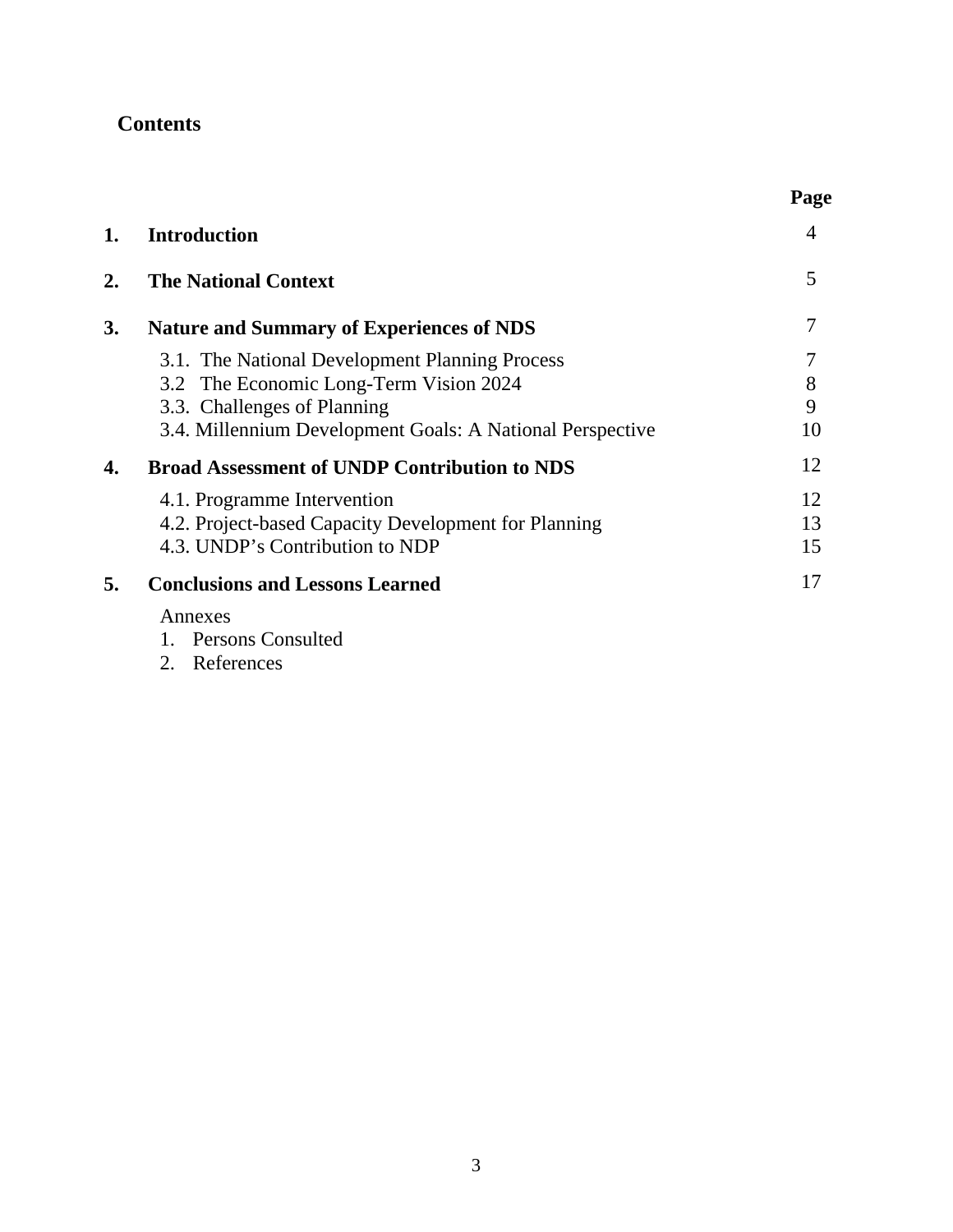## **Contents**

|    |                                                                                                                                                                                      | Page              |
|----|--------------------------------------------------------------------------------------------------------------------------------------------------------------------------------------|-------------------|
| 1. | <b>Introduction</b>                                                                                                                                                                  | 4                 |
| 2. | <b>The National Context</b>                                                                                                                                                          | 5                 |
| 3. | <b>Nature and Summary of Experiences of NDS</b>                                                                                                                                      | 7                 |
|    | 3.1. The National Development Planning Process<br>3.2 The Economic Long-Term Vision 2024<br>3.3. Challenges of Planning<br>3.4. Millennium Development Goals: A National Perspective | 7<br>8<br>9<br>10 |
| 4. | <b>Broad Assessment of UNDP Contribution to NDS</b>                                                                                                                                  | 12                |
|    | 4.1. Programme Intervention<br>4.2. Project-based Capacity Development for Planning<br>4.3. UNDP's Contribution to NDP                                                               | 12<br>13<br>15    |
| 5. | <b>Conclusions and Lessons Learned</b>                                                                                                                                               | 17                |
|    | Annexes<br>1. Persons Consulted<br>2. References                                                                                                                                     |                   |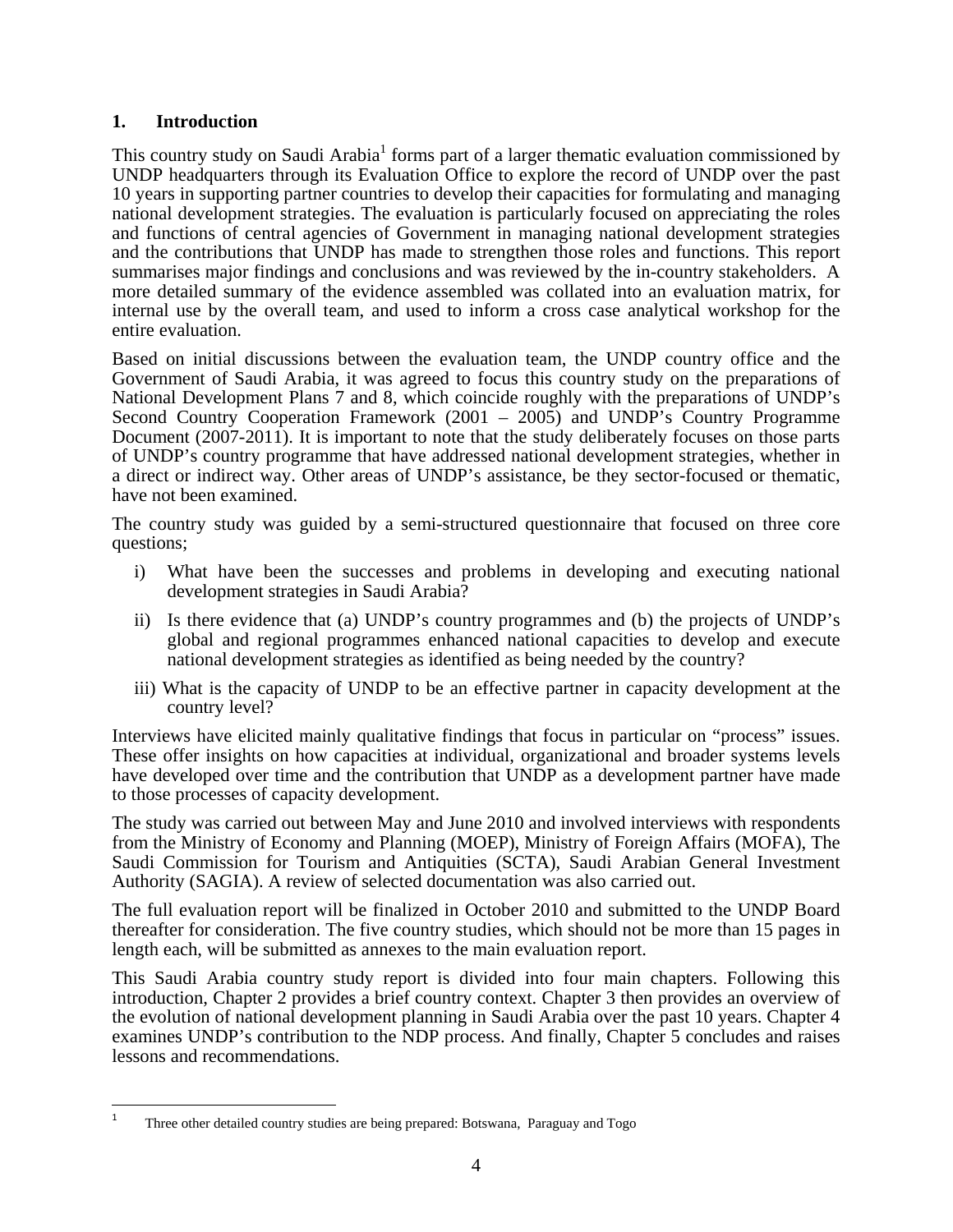#### **1. Introduction**

This country study on Saudi Arabia<sup>1</sup> forms part of a larger thematic evaluation commissioned by UNDP headquarters through its Evaluation Office to explore the record of UNDP over the past 10 years in supporting partner countries to develop their capacities for formulating and managing national development strategies. The evaluation is particularly focused on appreciating the roles and functions of central agencies of Government in managing national development strategies and the contributions that UNDP has made to strengthen those roles and functions. This report summarises major findings and conclusions and was reviewed by the in-country stakeholders. A more detailed summary of the evidence assembled was collated into an evaluation matrix, for internal use by the overall team, and used to inform a cross case analytical workshop for the entire evaluation.

Based on initial discussions between the evaluation team, the UNDP country office and the Government of Saudi Arabia, it was agreed to focus this country study on the preparations of National Development Plans 7 and 8, which coincide roughly with the preparations of UNDP's Second Country Cooperation Framework (2001 – 2005) and UNDP's Country Programme Document (2007-2011). It is important to note that the study deliberately focuses on those parts of UNDP's country programme that have addressed national development strategies, whether in a direct or indirect way. Other areas of UNDP's assistance, be they sector-focused or thematic, have not been examined.

The country study was guided by a semi-structured questionnaire that focused on three core questions;

- i) What have been the successes and problems in developing and executing national development strategies in Saudi Arabia?
- ii) Is there evidence that (a) UNDP's country programmes and (b) the projects of UNDP's global and regional programmes enhanced national capacities to develop and execute national development strategies as identified as being needed by the country?
- iii) What is the capacity of UNDP to be an effective partner in capacity development at the country level?

Interviews have elicited mainly qualitative findings that focus in particular on "process" issues. These offer insights on how capacities at individual, organizational and broader systems levels have developed over time and the contribution that UNDP as a development partner have made to those processes of capacity development.

The study was carried out between May and June 2010 and involved interviews with respondents from the Ministry of Economy and Planning (MOEP), Ministry of Foreign Affairs (MOFA), The Saudi Commission for Tourism and Antiquities (SCTA), Saudi Arabian General Investment Authority (SAGIA). A review of selected documentation was also carried out.

The full evaluation report will be finalized in October 2010 and submitted to the UNDP Board thereafter for consideration. The five country studies, which should not be more than 15 pages in length each, will be submitted as annexes to the main evaluation report.

This Saudi Arabia country study report is divided into four main chapters. Following this introduction, Chapter 2 provides a brief country context. Chapter 3 then provides an overview of the evolution of national development planning in Saudi Arabia over the past 10 years. Chapter 4 examines UNDP's contribution to the NDP process. And finally, Chapter 5 concludes and raises lessons and recommendations.

<sup>1</sup> Three other detailed country studies are being prepared: Botswana, Paraguay and Togo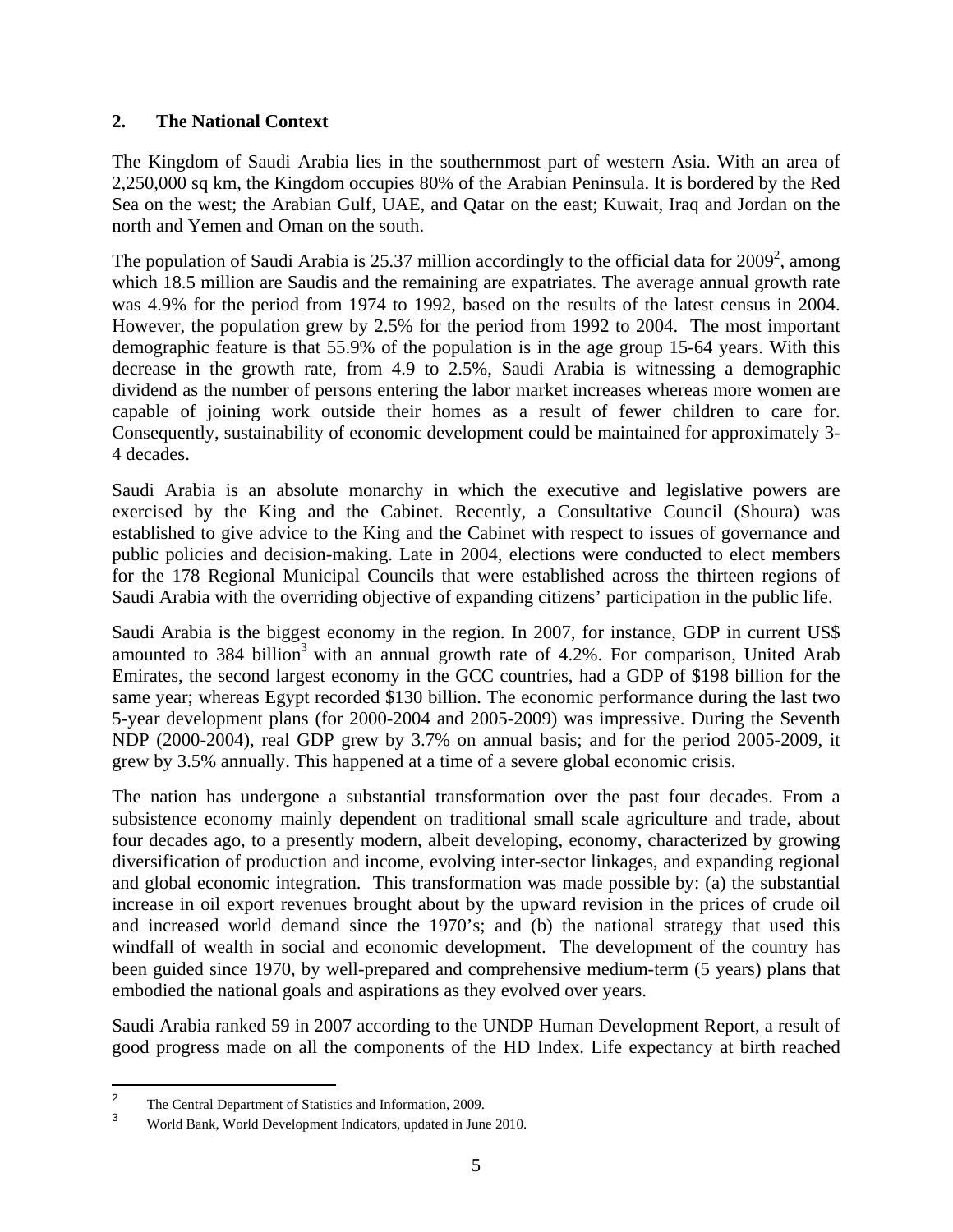#### **2. The National Context**

The Kingdom of Saudi Arabia lies in the southernmost part of western Asia. With an area of 2,250,000 sq km, the Kingdom occupies 80% of the Arabian Peninsula. It is bordered by the Red Sea on the west; the Arabian Gulf, UAE, and Qatar on the east; Kuwait, Iraq and Jordan on the north and Yemen and Oman on the south.

The population of Saudi Arabia is 25.37 million accordingly to the official data for  $2009^2$ , among which 18.5 million are Saudis and the remaining are expatriates. The average annual growth rate was 4.9% for the period from 1974 to 1992, based on the results of the latest census in 2004. However, the population grew by 2.5% for the period from 1992 to 2004. The most important demographic feature is that 55.9% of the population is in the age group 15-64 years. With this decrease in the growth rate, from 4.9 to 2.5%, Saudi Arabia is witnessing a demographic dividend as the number of persons entering the labor market increases whereas more women are capable of joining work outside their homes as a result of fewer children to care for. Consequently, sustainability of economic development could be maintained for approximately 3- 4 decades.

Saudi Arabia is an absolute monarchy in which the executive and legislative powers are exercised by the King and the Cabinet. Recently, a Consultative Council (Shoura) was established to give advice to the King and the Cabinet with respect to issues of governance and public policies and decision-making. Late in 2004, elections were conducted to elect members for the 178 Regional Municipal Councils that were established across the thirteen regions of Saudi Arabia with the overriding objective of expanding citizens' participation in the public life.

Saudi Arabia is the biggest economy in the region. In 2007, for instance, GDP in current US\$ amounted to 384 billion<sup>3</sup> with an annual growth rate of 4.2%. For comparison, United Arab Emirates, the second largest economy in the GCC countries, had a GDP of \$198 billion for the same year; whereas Egypt recorded \$130 billion. The economic performance during the last two 5-year development plans (for 2000-2004 and 2005-2009) was impressive. During the Seventh NDP (2000-2004), real GDP grew by 3.7% on annual basis; and for the period 2005-2009, it grew by 3.5% annually. This happened at a time of a severe global economic crisis.

The nation has undergone a substantial transformation over the past four decades. From a subsistence economy mainly dependent on traditional small scale agriculture and trade, about four decades ago, to a presently modern, albeit developing, economy, characterized by growing diversification of production and income, evolving inter-sector linkages, and expanding regional and global economic integration. This transformation was made possible by: (a) the substantial increase in oil export revenues brought about by the upward revision in the prices of crude oil and increased world demand since the 1970's; and (b) the national strategy that used this windfall of wealth in social and economic development. The development of the country has been guided since 1970, by well-prepared and comprehensive medium-term (5 years) plans that embodied the national goals and aspirations as they evolved over years.

Saudi Arabia ranked 59 in 2007 according to the UNDP Human Development Report, a result of good progress made on all the components of the HD Index. Life expectancy at birth reached

<sup>2</sup> The Central Department of Statistics and Information, 2009.

<sup>3</sup> World Bank, World Development Indicators, updated in June 2010.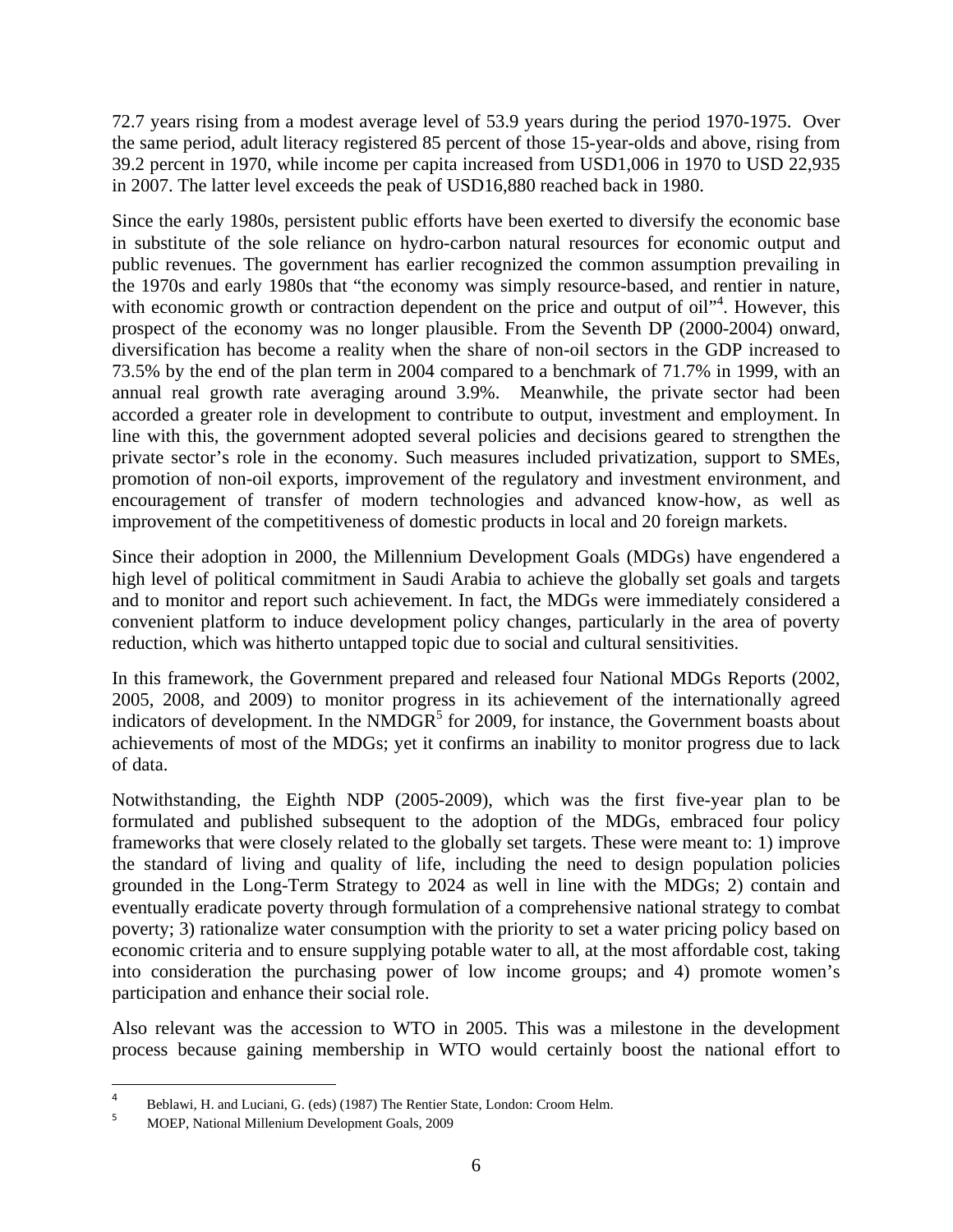72.7 years rising from a modest average level of 53.9 years during the period 1970-1975. Over the same period, adult literacy registered 85 percent of those 15-year-olds and above, rising from 39.2 percent in 1970, while income per capita increased from USD1,006 in 1970 to USD 22,935 in 2007. The latter level exceeds the peak of USD16,880 reached back in 1980.

Since the early 1980s, persistent public efforts have been exerted to diversify the economic base in substitute of the sole reliance on hydro-carbon natural resources for economic output and public revenues. The government has earlier recognized the common assumption prevailing in the 1970s and early 1980s that "the economy was simply resource-based, and rentier in nature, with economic growth or contraction dependent on the price and output of oil"<sup>4</sup>. However, this prospect of the economy was no longer plausible. From the Seventh DP (2000-2004) onward, diversification has become a reality when the share of non-oil sectors in the GDP increased to 73.5% by the end of the plan term in 2004 compared to a benchmark of 71.7% in 1999, with an annual real growth rate averaging around 3.9%. Meanwhile, the private sector had been accorded a greater role in development to contribute to output, investment and employment. In line with this, the government adopted several policies and decisions geared to strengthen the private sector's role in the economy. Such measures included privatization, support to SMEs, promotion of non-oil exports, improvement of the regulatory and investment environment, and encouragement of transfer of modern technologies and advanced know-how, as well as improvement of the competitiveness of domestic products in local and 20 foreign markets.

Since their adoption in 2000, the Millennium Development Goals (MDGs) have engendered a high level of political commitment in Saudi Arabia to achieve the globally set goals and targets and to monitor and report such achievement. In fact, the MDGs were immediately considered a convenient platform to induce development policy changes, particularly in the area of poverty reduction, which was hitherto untapped topic due to social and cultural sensitivities.

In this framework, the Government prepared and released four National MDGs Reports (2002, 2005, 2008, and 2009) to monitor progress in its achievement of the internationally agreed indicators of development. In the NMDGR<sup>5</sup> for 2009, for instance, the Government boasts about achievements of most of the MDGs; yet it confirms an inability to monitor progress due to lack of data.

Notwithstanding, the Eighth NDP (2005-2009), which was the first five-year plan to be formulated and published subsequent to the adoption of the MDGs, embraced four policy frameworks that were closely related to the globally set targets. These were meant to: 1) improve the standard of living and quality of life, including the need to design population policies grounded in the Long-Term Strategy to 2024 as well in line with the MDGs; 2) contain and eventually eradicate poverty through formulation of a comprehensive national strategy to combat poverty; 3) rationalize water consumption with the priority to set a water pricing policy based on economic criteria and to ensure supplying potable water to all, at the most affordable cost, taking into consideration the purchasing power of low income groups; and 4) promote women's participation and enhance their social role.

Also relevant was the accession to WTO in 2005. This was a milestone in the development process because gaining membership in WTO would certainly boost the national effort to

<sup>4</sup> Beblawi, H. and Luciani, G. (eds) (1987) The Rentier State, London: Croom Helm.

<sup>5</sup> MOEP, National Millenium Development Goals, 2009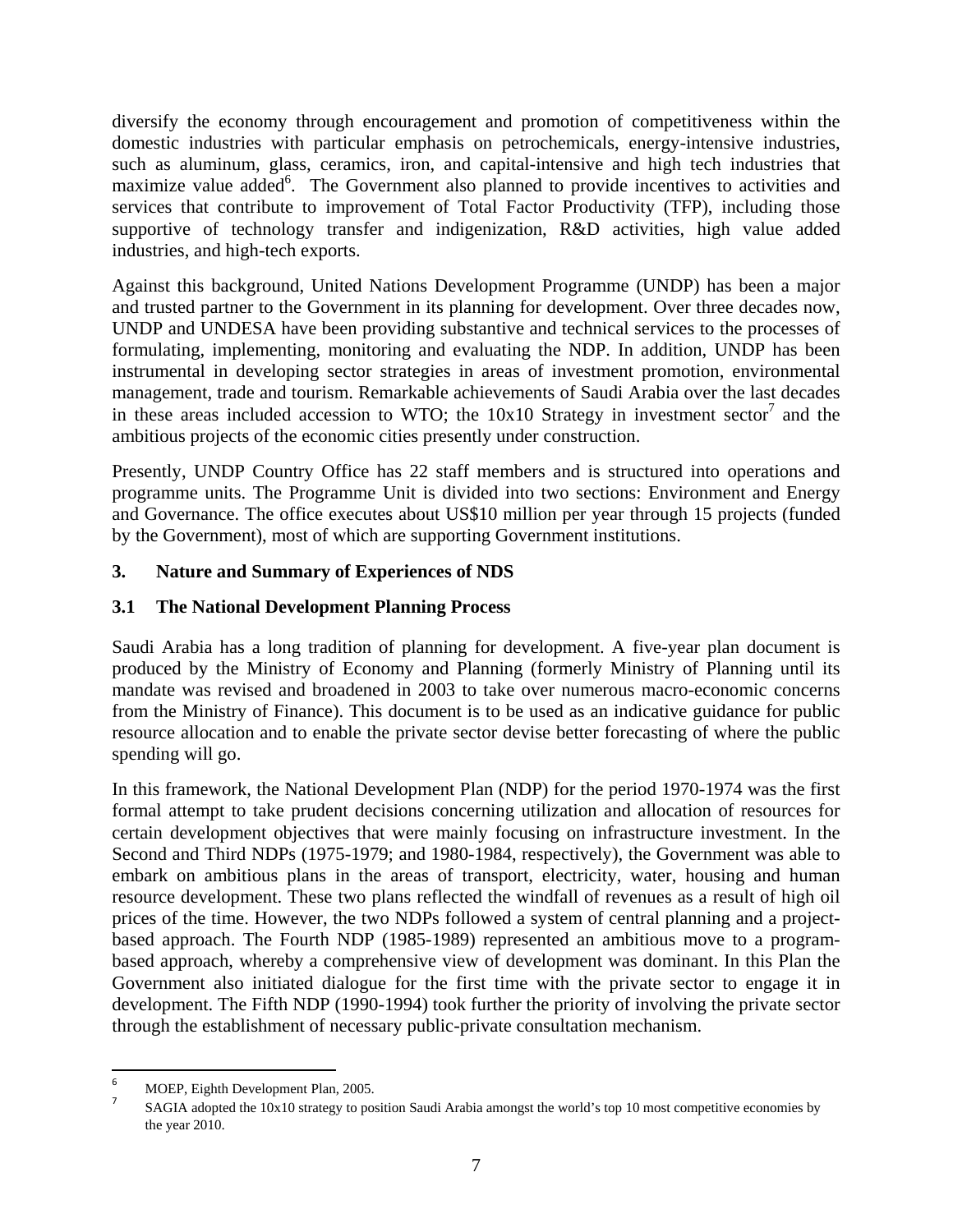diversify the economy through encouragement and promotion of competitiveness within the domestic industries with particular emphasis on petrochemicals, energy-intensive industries, such as aluminum, glass, ceramics, iron, and capital-intensive and high tech industries that maximize value added<sup>6</sup>. The Government also planned to provide incentives to activities and services that contribute to improvement of Total Factor Productivity (TFP), including those supportive of technology transfer and indigenization, R&D activities, high value added industries, and high-tech exports.

Against this background, United Nations Development Programme (UNDP) has been a major and trusted partner to the Government in its planning for development. Over three decades now, UNDP and UNDESA have been providing substantive and technical services to the processes of formulating, implementing, monitoring and evaluating the NDP. In addition, UNDP has been instrumental in developing sector strategies in areas of investment promotion, environmental management, trade and tourism. Remarkable achievements of Saudi Arabia over the last decades in these areas included accession to WTO; the  $10x10$  Strategy in investment sector<sup>7</sup> and the ambitious projects of the economic cities presently under construction.

Presently, UNDP Country Office has 22 staff members and is structured into operations and programme units. The Programme Unit is divided into two sections: Environment and Energy and Governance. The office executes about US\$10 million per year through 15 projects (funded by the Government), most of which are supporting Government institutions.

#### **3. Nature and Summary of Experiences of NDS**

#### **3.1 The National Development Planning Process**

Saudi Arabia has a long tradition of planning for development. A five-year plan document is produced by the Ministry of Economy and Planning (formerly Ministry of Planning until its mandate was revised and broadened in 2003 to take over numerous macro-economic concerns from the Ministry of Finance). This document is to be used as an indicative guidance for public resource allocation and to enable the private sector devise better forecasting of where the public spending will go.

In this framework, the National Development Plan (NDP) for the period 1970-1974 was the first formal attempt to take prudent decisions concerning utilization and allocation of resources for certain development objectives that were mainly focusing on infrastructure investment. In the Second and Third NDPs (1975-1979; and 1980-1984, respectively), the Government was able to embark on ambitious plans in the areas of transport, electricity, water, housing and human resource development. These two plans reflected the windfall of revenues as a result of high oil prices of the time. However, the two NDPs followed a system of central planning and a projectbased approach. The Fourth NDP (1985-1989) represented an ambitious move to a programbased approach, whereby a comprehensive view of development was dominant. In this Plan the Government also initiated dialogue for the first time with the private sector to engage it in development. The Fifth NDP (1990-1994) took further the priority of involving the private sector through the establishment of necessary public-private consultation mechanism.

<sup>6</sup> MOEP, Eighth Development Plan, 2005.

 SAGIA adopted the 10x10 strategy to position Saudi Arabia amongst the world's top 10 most competitive economies by the year 2010.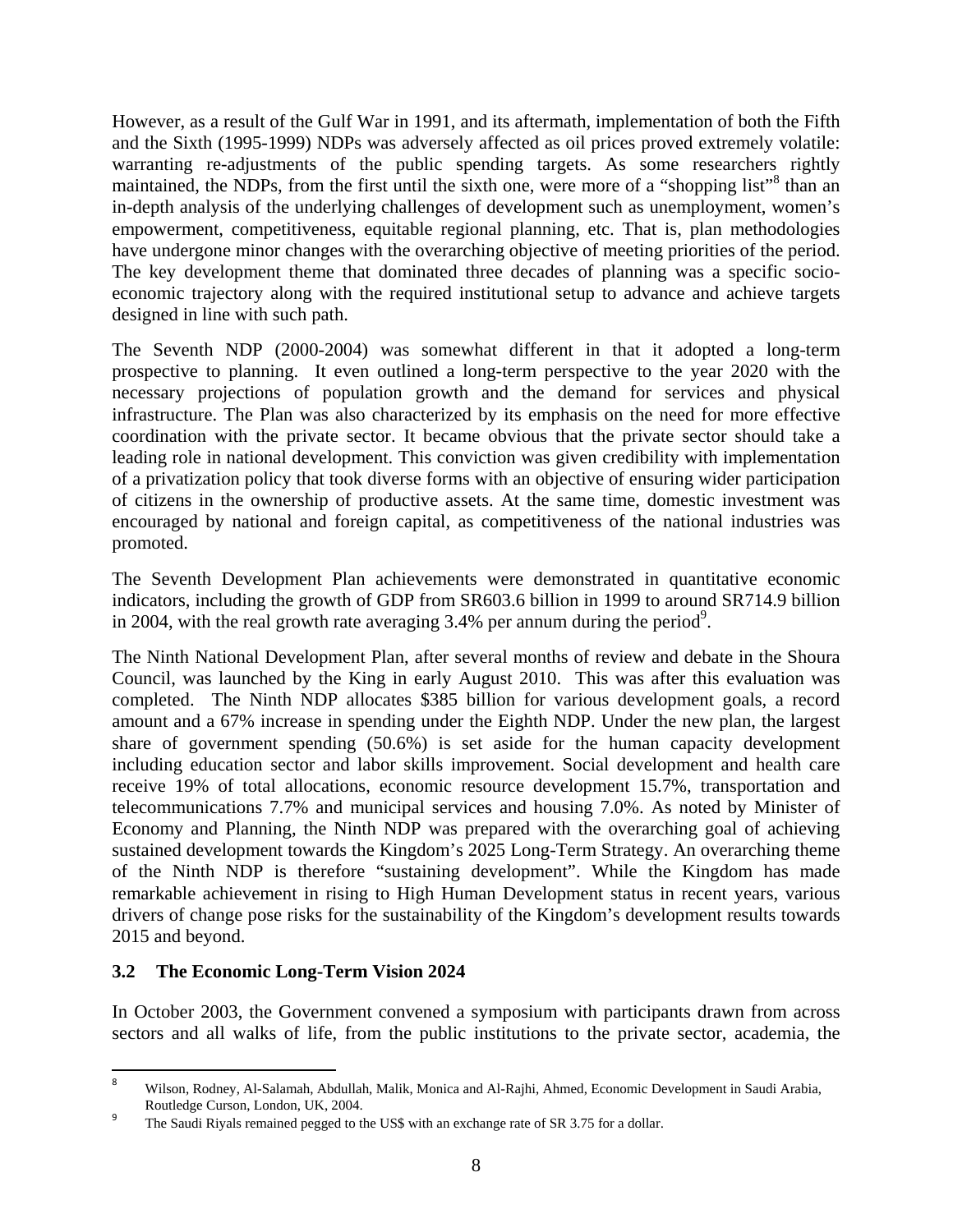However, as a result of the Gulf War in 1991, and its aftermath, implementation of both the Fifth and the Sixth (1995-1999) NDPs was adversely affected as oil prices proved extremely volatile: warranting re-adjustments of the public spending targets. As some researchers rightly maintained, the NDPs, from the first until the sixth one, were more of a "shopping list"<sup>8</sup> than an in-depth analysis of the underlying challenges of development such as unemployment, women's empowerment, competitiveness, equitable regional planning, etc. That is, plan methodologies have undergone minor changes with the overarching objective of meeting priorities of the period. The key development theme that dominated three decades of planning was a specific socioeconomic trajectory along with the required institutional setup to advance and achieve targets designed in line with such path.

The Seventh NDP (2000-2004) was somewhat different in that it adopted a long-term prospective to planning. It even outlined a long-term perspective to the year 2020 with the necessary projections of population growth and the demand for services and physical infrastructure. The Plan was also characterized by its emphasis on the need for more effective coordination with the private sector. It became obvious that the private sector should take a leading role in national development. This conviction was given credibility with implementation of a privatization policy that took diverse forms with an objective of ensuring wider participation of citizens in the ownership of productive assets. At the same time, domestic investment was encouraged by national and foreign capital, as competitiveness of the national industries was promoted.

The Seventh Development Plan achievements were demonstrated in quantitative economic indicators, including the growth of GDP from SR603.6 billion in 1999 to around SR714.9 billion in 2004, with the real growth rate averaging  $3.4\%$  per annum during the period<sup>9</sup>.

The Ninth National Development Plan, after several months of review and debate in the Shoura Council, was launched by the King in early August 2010. This was after this evaluation was completed. The Ninth NDP allocates \$385 billion for various development goals, a record amount and a 67% increase in spending under the Eighth NDP. Under the new plan, the largest share of government spending (50.6%) is set aside for the human capacity development including education sector and labor skills improvement. Social development and health care receive 19% of total allocations, economic resource development 15.7%, transportation and telecommunications 7.7% and municipal services and housing 7.0%. As noted by Minister of Economy and Planning, the Ninth NDP was prepared with the overarching goal of achieving sustained development towards the Kingdom's 2025 Long-Term Strategy. An overarching theme of the Ninth NDP is therefore "sustaining development". While the Kingdom has made remarkable achievement in rising to High Human Development status in recent years, various drivers of change pose risks for the sustainability of the Kingdom's development results towards 2015 and beyond.

#### **3.2 The Economic Long-Term Vision 2024**

In October 2003, the Government convened a symposium with participants drawn from across sectors and all walks of life, from the public institutions to the private sector, academia, the

<sup>8</sup> Wilson, Rodney, Al-Salamah, Abdullah, Malik, Monica and Al-Rajhi, Ahmed, Economic Development in Saudi Arabia, Routledge Curson, London, UK, 2004.

<sup>9</sup> The Saudi Riyals remained pegged to the US\$ with an exchange rate of SR 3.75 for a dollar.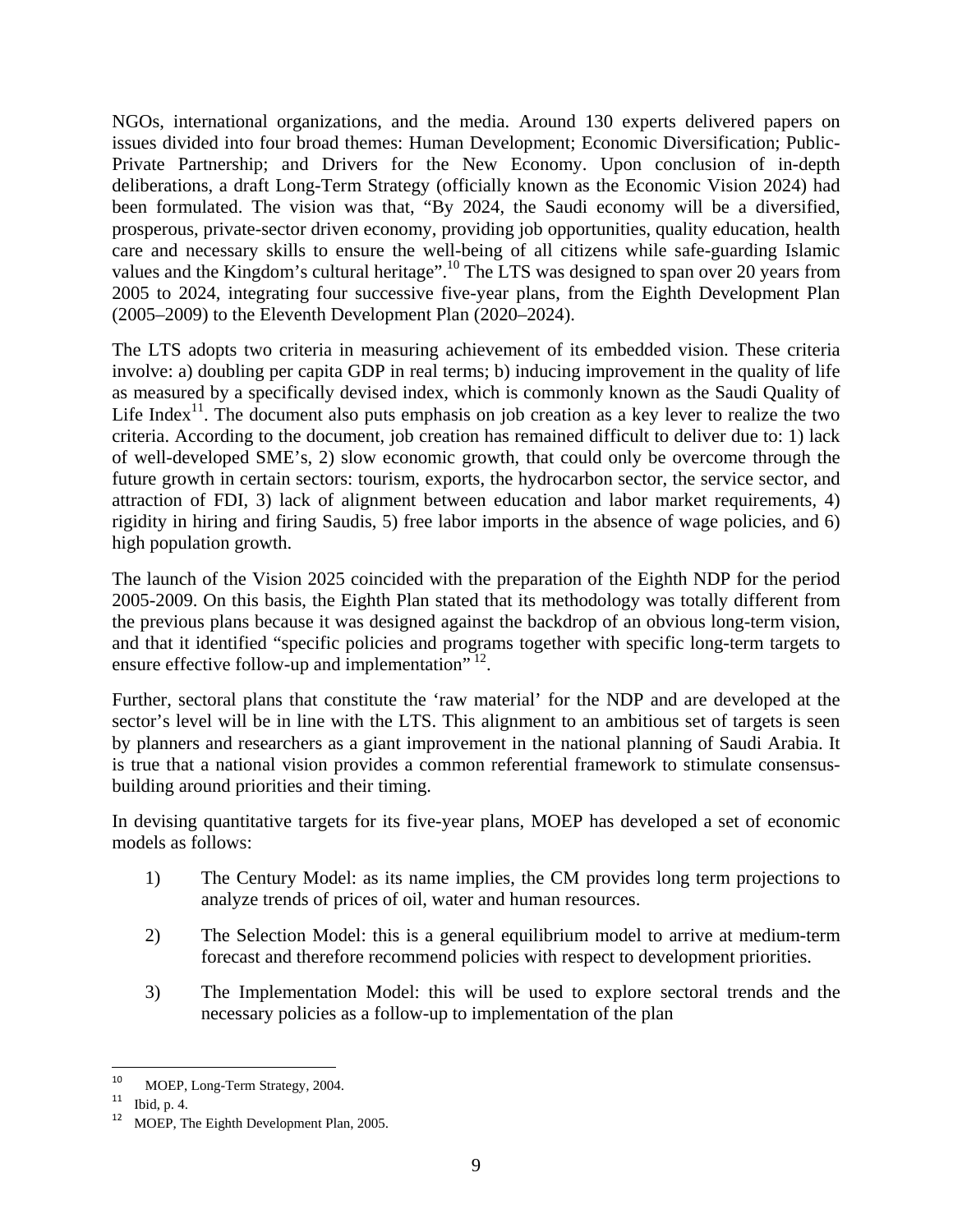NGOs, international organizations, and the media. Around 130 experts delivered papers on issues divided into four broad themes: Human Development; Economic Diversification; Public-Private Partnership; and Drivers for the New Economy. Upon conclusion of in-depth deliberations, a draft Long-Term Strategy (officially known as the Economic Vision 2024) had been formulated. The vision was that, "By 2024, the Saudi economy will be a diversified, prosperous, private-sector driven economy, providing job opportunities, quality education, health care and necessary skills to ensure the well-being of all citizens while safe-guarding Islamic values and the Kingdom's cultural heritage".<sup>10</sup> The LTS was designed to span over 20 years from 2005 to 2024, integrating four successive five-year plans, from the Eighth Development Plan (2005–2009) to the Eleventh Development Plan (2020–2024).

The LTS adopts two criteria in measuring achievement of its embedded vision. These criteria involve: a) doubling per capita GDP in real terms; b) inducing improvement in the quality of life as measured by a specifically devised index, which is commonly known as the Saudi Quality of Life Index<sup>11</sup>. The document also puts emphasis on job creation as a key lever to realize the two criteria. According to the document, job creation has remained difficult to deliver due to: 1) lack of well-developed SME's, 2) slow economic growth, that could only be overcome through the future growth in certain sectors: tourism, exports, the hydrocarbon sector, the service sector, and attraction of FDI, 3) lack of alignment between education and labor market requirements, 4) rigidity in hiring and firing Saudis, 5) free labor imports in the absence of wage policies, and 6) high population growth.

The launch of the Vision 2025 coincided with the preparation of the Eighth NDP for the period 2005-2009. On this basis, the Eighth Plan stated that its methodology was totally different from the previous plans because it was designed against the backdrop of an obvious long-term vision, and that it identified "specific policies and programs together with specific long-term targets to ensure effective follow-up and implementation"  $^{12}$ .

Further, sectoral plans that constitute the 'raw material' for the NDP and are developed at the sector's level will be in line with the LTS. This alignment to an ambitious set of targets is seen by planners and researchers as a giant improvement in the national planning of Saudi Arabia. It is true that a national vision provides a common referential framework to stimulate consensusbuilding around priorities and their timing.

In devising quantitative targets for its five-year plans, MOEP has developed a set of economic models as follows:

- 1) The Century Model: as its name implies, the CM provides long term projections to analyze trends of prices of oil, water and human resources.
- 2) The Selection Model: this is a general equilibrium model to arrive at medium-term forecast and therefore recommend policies with respect to development priorities.
- 3) The Implementation Model: this will be used to explore sectoral trends and the necessary policies as a follow-up to implementation of the plan

 <sup>10</sup> MOEP, Long-Term Strategy, 2004.<br><sup>11</sup> Ibid, p. 4.<br>**12** MOEP, The Eighth Development Plan, 2005.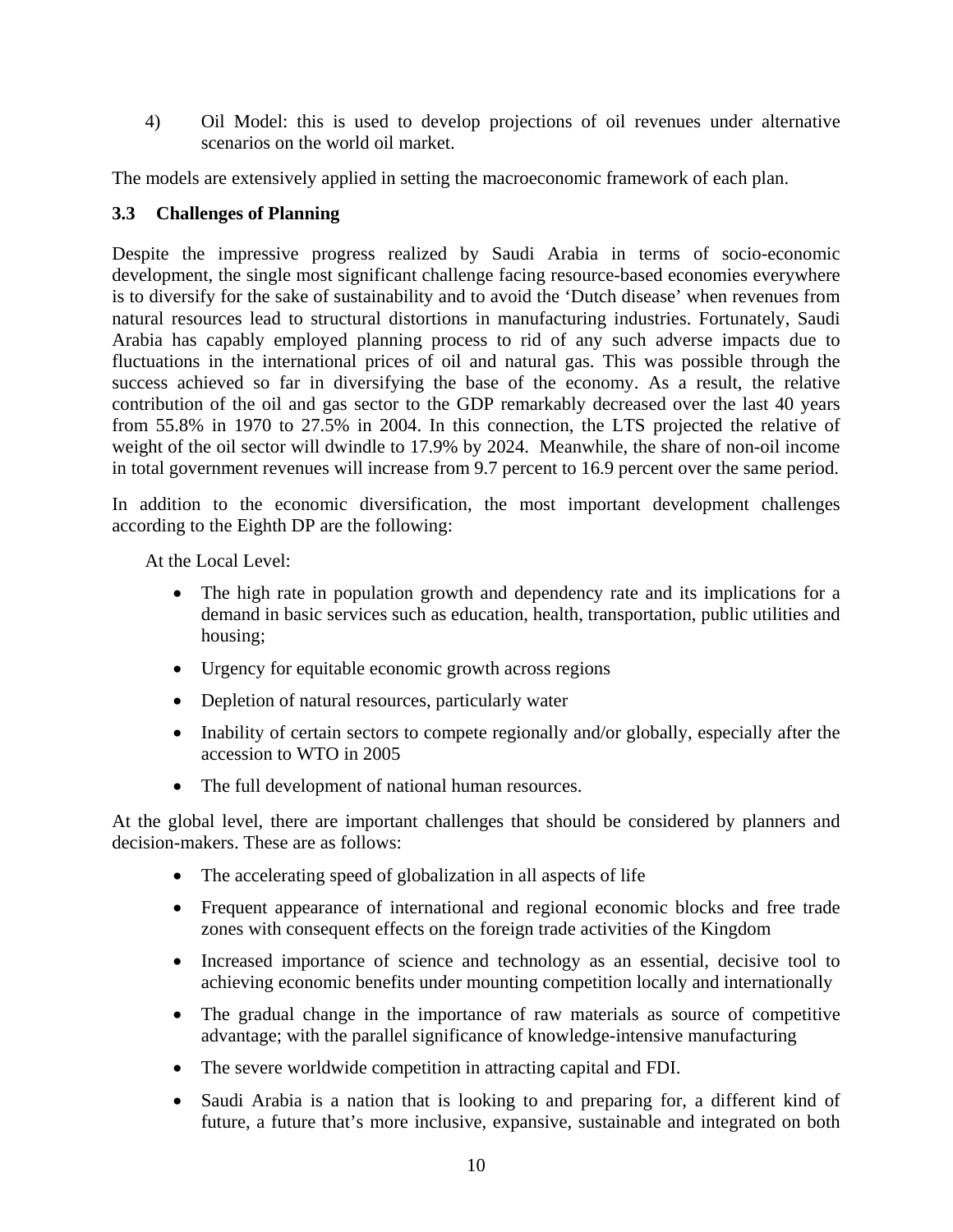4) Oil Model: this is used to develop projections of oil revenues under alternative scenarios on the world oil market.

The models are extensively applied in setting the macroeconomic framework of each plan.

#### **3.3 Challenges of Planning**

Despite the impressive progress realized by Saudi Arabia in terms of socio-economic development, the single most significant challenge facing resource-based economies everywhere is to diversify for the sake of sustainability and to avoid the 'Dutch disease' when revenues from natural resources lead to structural distortions in manufacturing industries. Fortunately, Saudi Arabia has capably employed planning process to rid of any such adverse impacts due to fluctuations in the international prices of oil and natural gas. This was possible through the success achieved so far in diversifying the base of the economy. As a result, the relative contribution of the oil and gas sector to the GDP remarkably decreased over the last 40 years from 55.8% in 1970 to 27.5% in 2004. In this connection, the LTS projected the relative of weight of the oil sector will dwindle to 17.9% by 2024. Meanwhile, the share of non-oil income in total government revenues will increase from 9.7 percent to 16.9 percent over the same period.

In addition to the economic diversification, the most important development challenges according to the Eighth DP are the following:

At the Local Level:

- The high rate in population growth and dependency rate and its implications for a demand in basic services such as education, health, transportation, public utilities and housing;
- Urgency for equitable economic growth across regions
- Depletion of natural resources, particularly water
- Inability of certain sectors to compete regionally and/or globally, especially after the accession to WTO in 2005
- The full development of national human resources.

At the global level, there are important challenges that should be considered by planners and decision-makers. These are as follows:

- The accelerating speed of globalization in all aspects of life
- Frequent appearance of international and regional economic blocks and free trade zones with consequent effects on the foreign trade activities of the Kingdom
- Increased importance of science and technology as an essential, decisive tool to achieving economic benefits under mounting competition locally and internationally
- The gradual change in the importance of raw materials as source of competitive advantage; with the parallel significance of knowledge-intensive manufacturing
- The severe worldwide competition in attracting capital and FDI.
- Saudi Arabia is a nation that is looking to and preparing for, a different kind of future, a future that's more inclusive, expansive, sustainable and integrated on both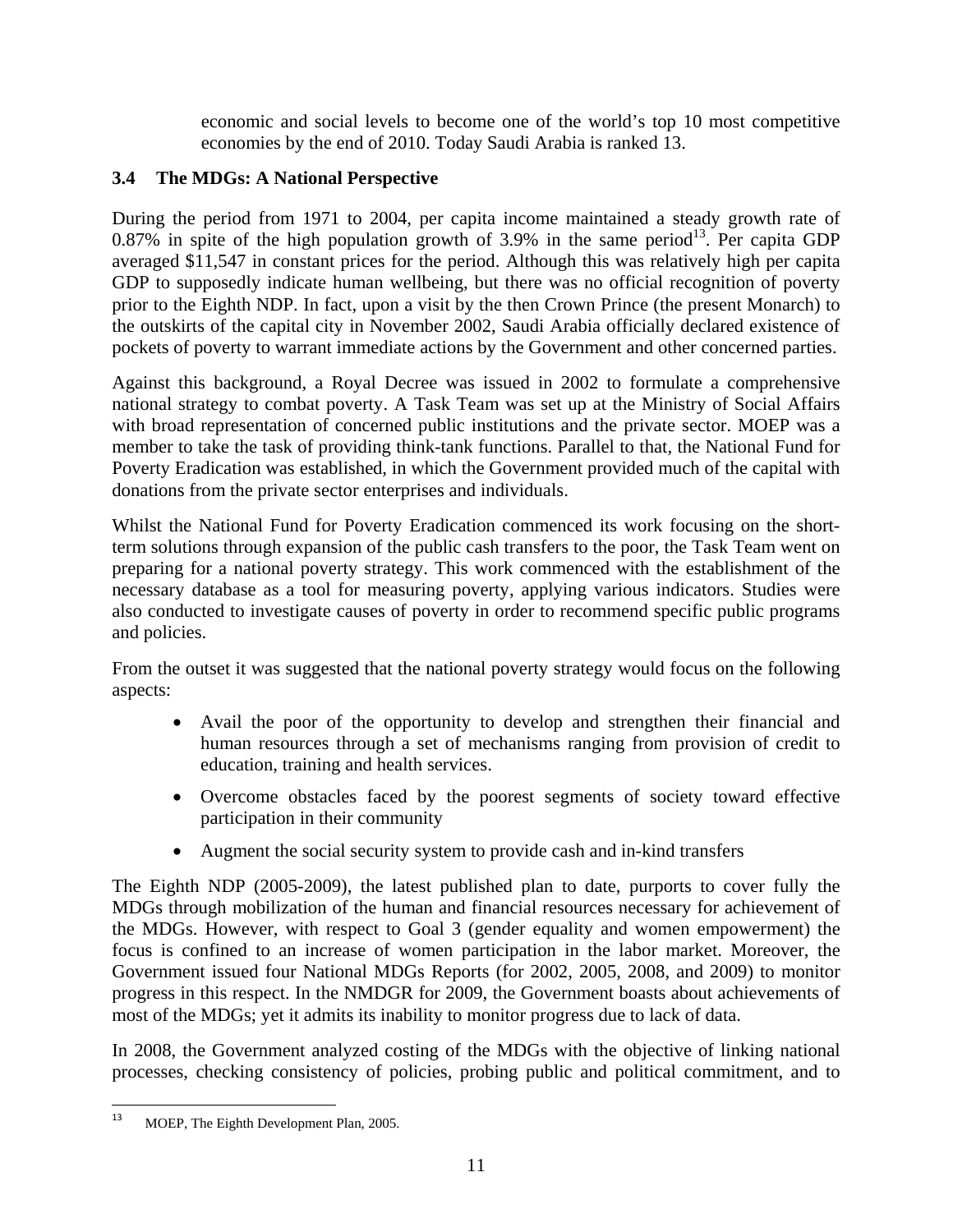economic and social levels to become one of the world's top 10 most competitive economies by the end of 2010. Today Saudi Arabia is ranked 13.

#### **3.4 The MDGs: A National Perspective**

During the period from 1971 to 2004, per capita income maintained a steady growth rate of 0.87% in spite of the high population growth of 3.9% in the same period<sup>13</sup>. Per capita GDP averaged \$11,547 in constant prices for the period. Although this was relatively high per capita GDP to supposedly indicate human wellbeing, but there was no official recognition of poverty prior to the Eighth NDP. In fact, upon a visit by the then Crown Prince (the present Monarch) to the outskirts of the capital city in November 2002, Saudi Arabia officially declared existence of pockets of poverty to warrant immediate actions by the Government and other concerned parties.

Against this background, a Royal Decree was issued in 2002 to formulate a comprehensive national strategy to combat poverty. A Task Team was set up at the Ministry of Social Affairs with broad representation of concerned public institutions and the private sector. MOEP was a member to take the task of providing think-tank functions. Parallel to that, the National Fund for Poverty Eradication was established, in which the Government provided much of the capital with donations from the private sector enterprises and individuals.

Whilst the National Fund for Poverty Eradication commenced its work focusing on the shortterm solutions through expansion of the public cash transfers to the poor, the Task Team went on preparing for a national poverty strategy. This work commenced with the establishment of the necessary database as a tool for measuring poverty, applying various indicators. Studies were also conducted to investigate causes of poverty in order to recommend specific public programs and policies.

From the outset it was suggested that the national poverty strategy would focus on the following aspects:

- Avail the poor of the opportunity to develop and strengthen their financial and human resources through a set of mechanisms ranging from provision of credit to education, training and health services.
- Overcome obstacles faced by the poorest segments of society toward effective participation in their community
- Augment the social security system to provide cash and in-kind transfers

The Eighth NDP (2005-2009), the latest published plan to date, purports to cover fully the MDGs through mobilization of the human and financial resources necessary for achievement of the MDGs. However, with respect to Goal 3 (gender equality and women empowerment) the focus is confined to an increase of women participation in the labor market. Moreover, the Government issued four National MDGs Reports (for 2002, 2005, 2008, and 2009) to monitor progress in this respect. In the NMDGR for 2009, the Government boasts about achievements of most of the MDGs; yet it admits its inability to monitor progress due to lack of data.

In 2008, the Government analyzed costing of the MDGs with the objective of linking national processes, checking consistency of policies, probing public and political commitment, and to

<sup>&</sup>lt;sup>13</sup> MOEP, The Eighth Development Plan, 2005.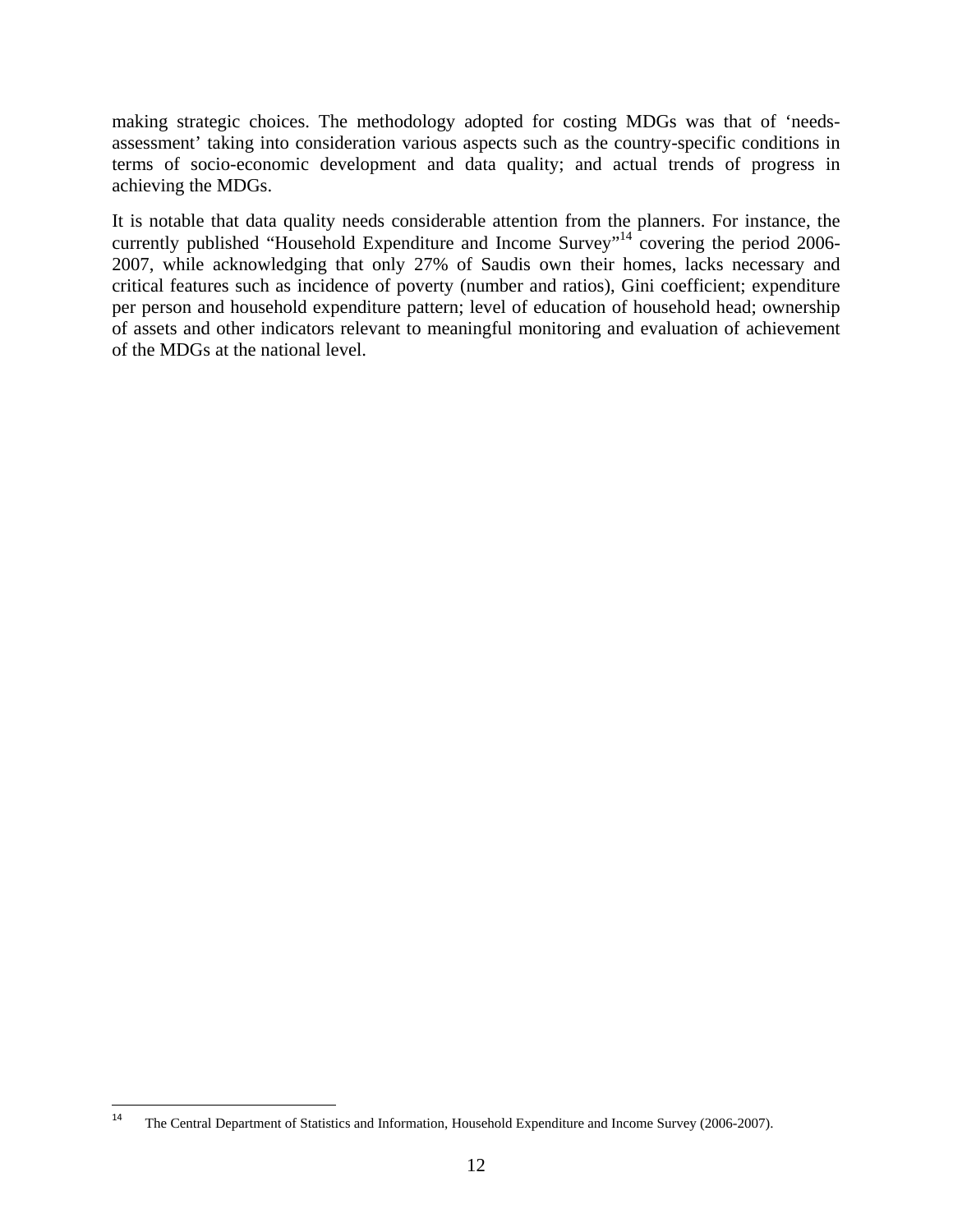making strategic choices. The methodology adopted for costing MDGs was that of 'needsassessment' taking into consideration various aspects such as the country-specific conditions in terms of socio-economic development and data quality; and actual trends of progress in achieving the MDGs.

It is notable that data quality needs considerable attention from the planners. For instance, the currently published "Household Expenditure and Income Survey"<sup>14</sup> covering the period 2006-2007, while acknowledging that only 27% of Saudis own their homes, lacks necessary and critical features such as incidence of poverty (number and ratios), Gini coefficient; expenditure per person and household expenditure pattern; level of education of household head; ownership of assets and other indicators relevant to meaningful monitoring and evaluation of achievement of the MDGs at the national level.

<sup>&</sup>lt;sup>14</sup> The Central Department of Statistics and Information, Household Expenditure and Income Survey (2006-2007).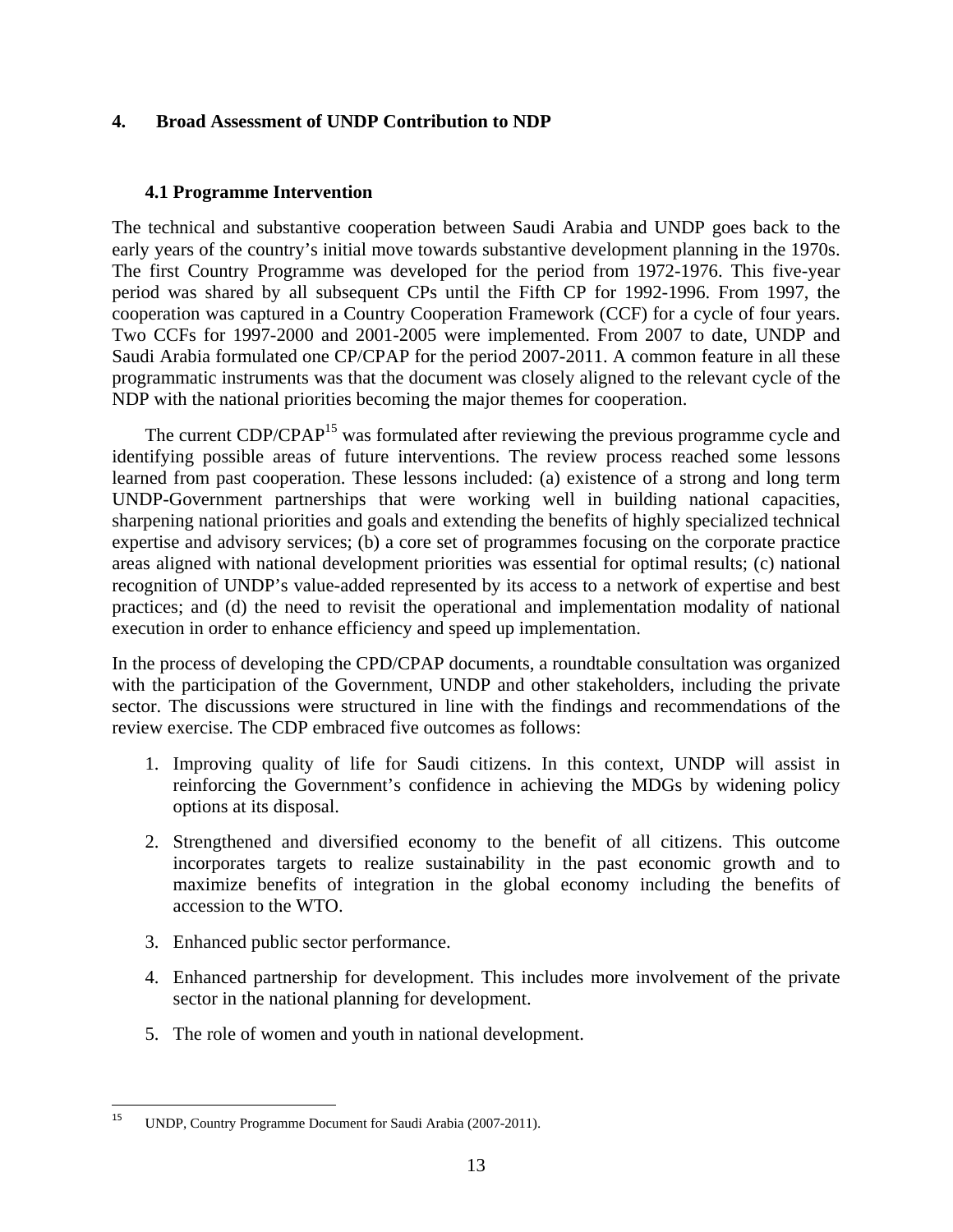#### **4. Broad Assessment of UNDP Contribution to NDP**

#### **4.1 Programme Intervention**

The technical and substantive cooperation between Saudi Arabia and UNDP goes back to the early years of the country's initial move towards substantive development planning in the 1970s. The first Country Programme was developed for the period from 1972-1976. This five-year period was shared by all subsequent CPs until the Fifth CP for 1992-1996. From 1997, the cooperation was captured in a Country Cooperation Framework (CCF) for a cycle of four years. Two CCFs for 1997-2000 and 2001-2005 were implemented. From 2007 to date, UNDP and Saudi Arabia formulated one CP/CPAP for the period 2007-2011. A common feature in all these programmatic instruments was that the document was closely aligned to the relevant cycle of the NDP with the national priorities becoming the major themes for cooperation.

The current CDP/CPAP<sup>15</sup> was formulated after reviewing the previous programme cycle and identifying possible areas of future interventions. The review process reached some lessons learned from past cooperation. These lessons included: (a) existence of a strong and long term UNDP-Government partnerships that were working well in building national capacities, sharpening national priorities and goals and extending the benefits of highly specialized technical expertise and advisory services; (b) a core set of programmes focusing on the corporate practice areas aligned with national development priorities was essential for optimal results; (c) national recognition of UNDP's value-added represented by its access to a network of expertise and best practices; and (d) the need to revisit the operational and implementation modality of national execution in order to enhance efficiency and speed up implementation.

In the process of developing the CPD/CPAP documents, a roundtable consultation was organized with the participation of the Government, UNDP and other stakeholders, including the private sector. The discussions were structured in line with the findings and recommendations of the review exercise. The CDP embraced five outcomes as follows:

- 1. Improving quality of life for Saudi citizens. In this context, UNDP will assist in reinforcing the Government's confidence in achieving the MDGs by widening policy options at its disposal.
- 2. Strengthened and diversified economy to the benefit of all citizens. This outcome incorporates targets to realize sustainability in the past economic growth and to maximize benefits of integration in the global economy including the benefits of accession to the WTO.
- 3. Enhanced public sector performance.
- 4. Enhanced partnership for development. This includes more involvement of the private sector in the national planning for development.
- 5. The role of women and youth in national development.

<sup>&</sup>lt;sup>15</sup> UNDP, Country Programme Document for Saudi Arabia (2007-2011).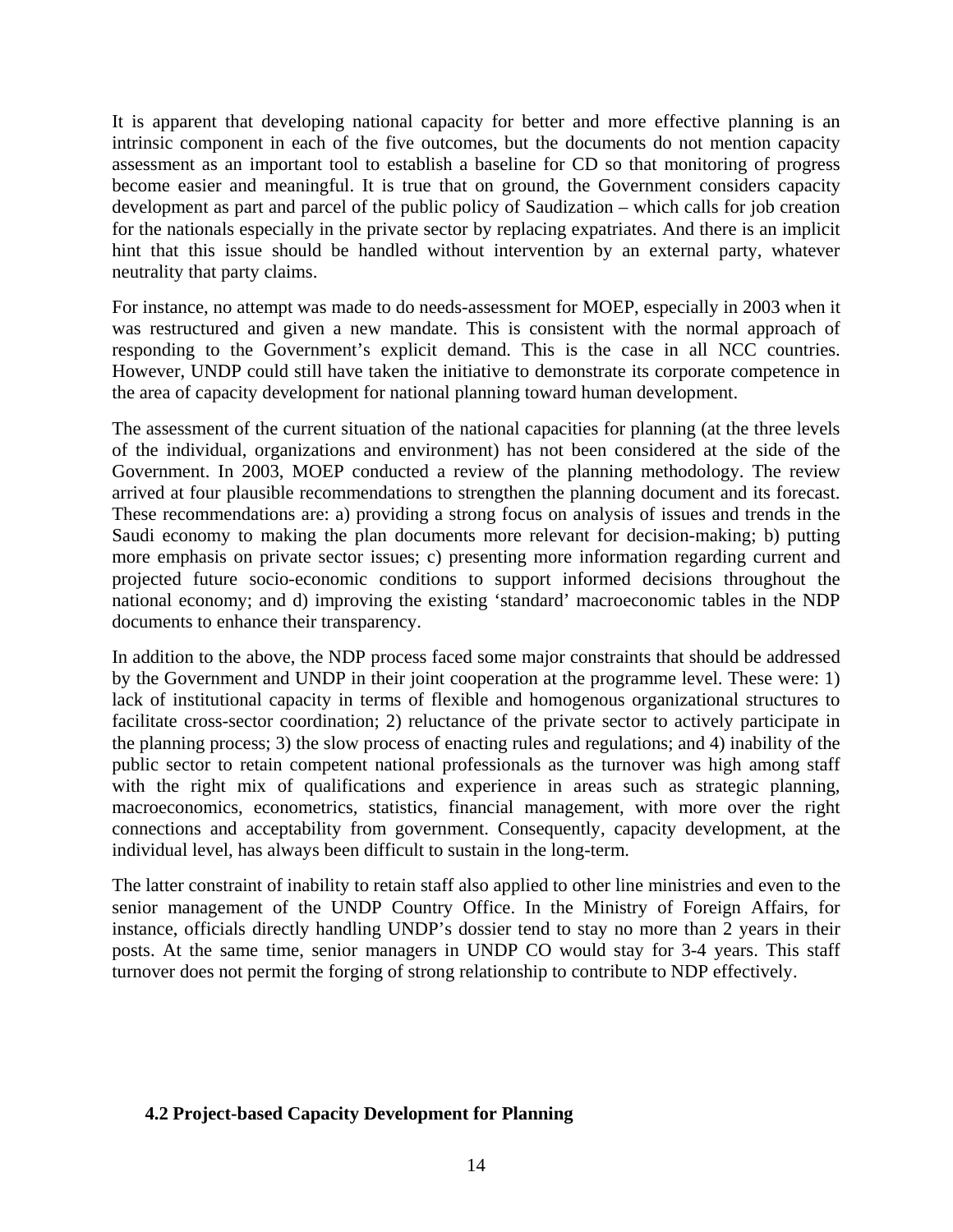It is apparent that developing national capacity for better and more effective planning is an intrinsic component in each of the five outcomes, but the documents do not mention capacity assessment as an important tool to establish a baseline for CD so that monitoring of progress become easier and meaningful. It is true that on ground, the Government considers capacity development as part and parcel of the public policy of Saudization – which calls for job creation for the nationals especially in the private sector by replacing expatriates. And there is an implicit hint that this issue should be handled without intervention by an external party, whatever neutrality that party claims.

For instance, no attempt was made to do needs-assessment for MOEP, especially in 2003 when it was restructured and given a new mandate. This is consistent with the normal approach of responding to the Government's explicit demand. This is the case in all NCC countries. However, UNDP could still have taken the initiative to demonstrate its corporate competence in the area of capacity development for national planning toward human development.

The assessment of the current situation of the national capacities for planning (at the three levels of the individual, organizations and environment) has not been considered at the side of the Government. In 2003, MOEP conducted a review of the planning methodology. The review arrived at four plausible recommendations to strengthen the planning document and its forecast. These recommendations are: a) providing a strong focus on analysis of issues and trends in the Saudi economy to making the plan documents more relevant for decision-making; b) putting more emphasis on private sector issues; c) presenting more information regarding current and projected future socio-economic conditions to support informed decisions throughout the national economy; and d) improving the existing 'standard' macroeconomic tables in the NDP documents to enhance their transparency.

In addition to the above, the NDP process faced some major constraints that should be addressed by the Government and UNDP in their joint cooperation at the programme level. These were: 1) lack of institutional capacity in terms of flexible and homogenous organizational structures to facilitate cross-sector coordination; 2) reluctance of the private sector to actively participate in the planning process; 3) the slow process of enacting rules and regulations; and 4) inability of the public sector to retain competent national professionals as the turnover was high among staff with the right mix of qualifications and experience in areas such as strategic planning, macroeconomics, econometrics, statistics, financial management, with more over the right connections and acceptability from government. Consequently, capacity development, at the individual level, has always been difficult to sustain in the long-term.

The latter constraint of inability to retain staff also applied to other line ministries and even to the senior management of the UNDP Country Office. In the Ministry of Foreign Affairs, for instance, officials directly handling UNDP's dossier tend to stay no more than 2 years in their posts. At the same time, senior managers in UNDP CO would stay for 3-4 years. This staff turnover does not permit the forging of strong relationship to contribute to NDP effectively.

#### **4.2 Project-based Capacity Development for Planning**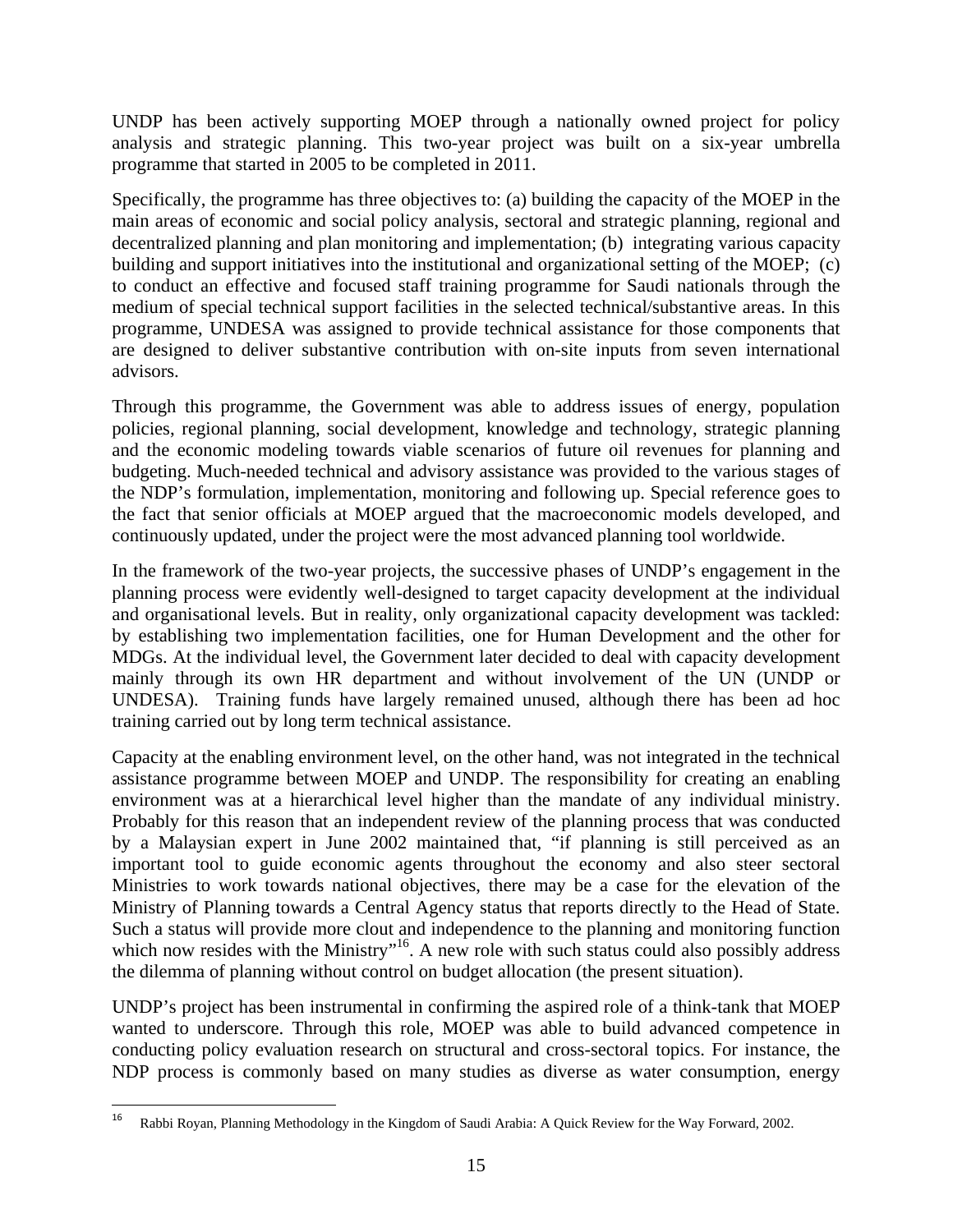UNDP has been actively supporting MOEP through a nationally owned project for policy analysis and strategic planning. This two-year project was built on a six-year umbrella programme that started in 2005 to be completed in 2011.

Specifically, the programme has three objectives to: (a) building the capacity of the MOEP in the main areas of economic and social policy analysis, sectoral and strategic planning, regional and decentralized planning and plan monitoring and implementation; (b) integrating various capacity building and support initiatives into the institutional and organizational setting of the MOEP; (c) to conduct an effective and focused staff training programme for Saudi nationals through the medium of special technical support facilities in the selected technical/substantive areas. In this programme, UNDESA was assigned to provide technical assistance for those components that are designed to deliver substantive contribution with on-site inputs from seven international advisors.

Through this programme, the Government was able to address issues of energy, population policies, regional planning, social development, knowledge and technology, strategic planning and the economic modeling towards viable scenarios of future oil revenues for planning and budgeting. Much-needed technical and advisory assistance was provided to the various stages of the NDP's formulation, implementation, monitoring and following up. Special reference goes to the fact that senior officials at MOEP argued that the macroeconomic models developed, and continuously updated, under the project were the most advanced planning tool worldwide.

In the framework of the two-year projects, the successive phases of UNDP's engagement in the planning process were evidently well-designed to target capacity development at the individual and organisational levels. But in reality, only organizational capacity development was tackled: by establishing two implementation facilities, one for Human Development and the other for MDGs. At the individual level, the Government later decided to deal with capacity development mainly through its own HR department and without involvement of the UN (UNDP or UNDESA). Training funds have largely remained unused, although there has been ad hoc training carried out by long term technical assistance.

Capacity at the enabling environment level, on the other hand, was not integrated in the technical assistance programme between MOEP and UNDP. The responsibility for creating an enabling environment was at a hierarchical level higher than the mandate of any individual ministry. Probably for this reason that an independent review of the planning process that was conducted by a Malaysian expert in June 2002 maintained that, "if planning is still perceived as an important tool to guide economic agents throughout the economy and also steer sectoral Ministries to work towards national objectives, there may be a case for the elevation of the Ministry of Planning towards a Central Agency status that reports directly to the Head of State. Such a status will provide more clout and independence to the planning and monitoring function which now resides with the Ministry"<sup>16</sup>. A new role with such status could also possibly address the dilemma of planning without control on budget allocation (the present situation).

UNDP's project has been instrumental in confirming the aspired role of a think-tank that MOEP wanted to underscore. Through this role, MOEP was able to build advanced competence in conducting policy evaluation research on structural and cross-sectoral topics. For instance, the NDP process is commonly based on many studies as diverse as water consumption, energy

<sup>&</sup>lt;sup>16</sup> Rabbi Royan, Planning Methodology in the Kingdom of Saudi Arabia: A Quick Review for the Way Forward, 2002.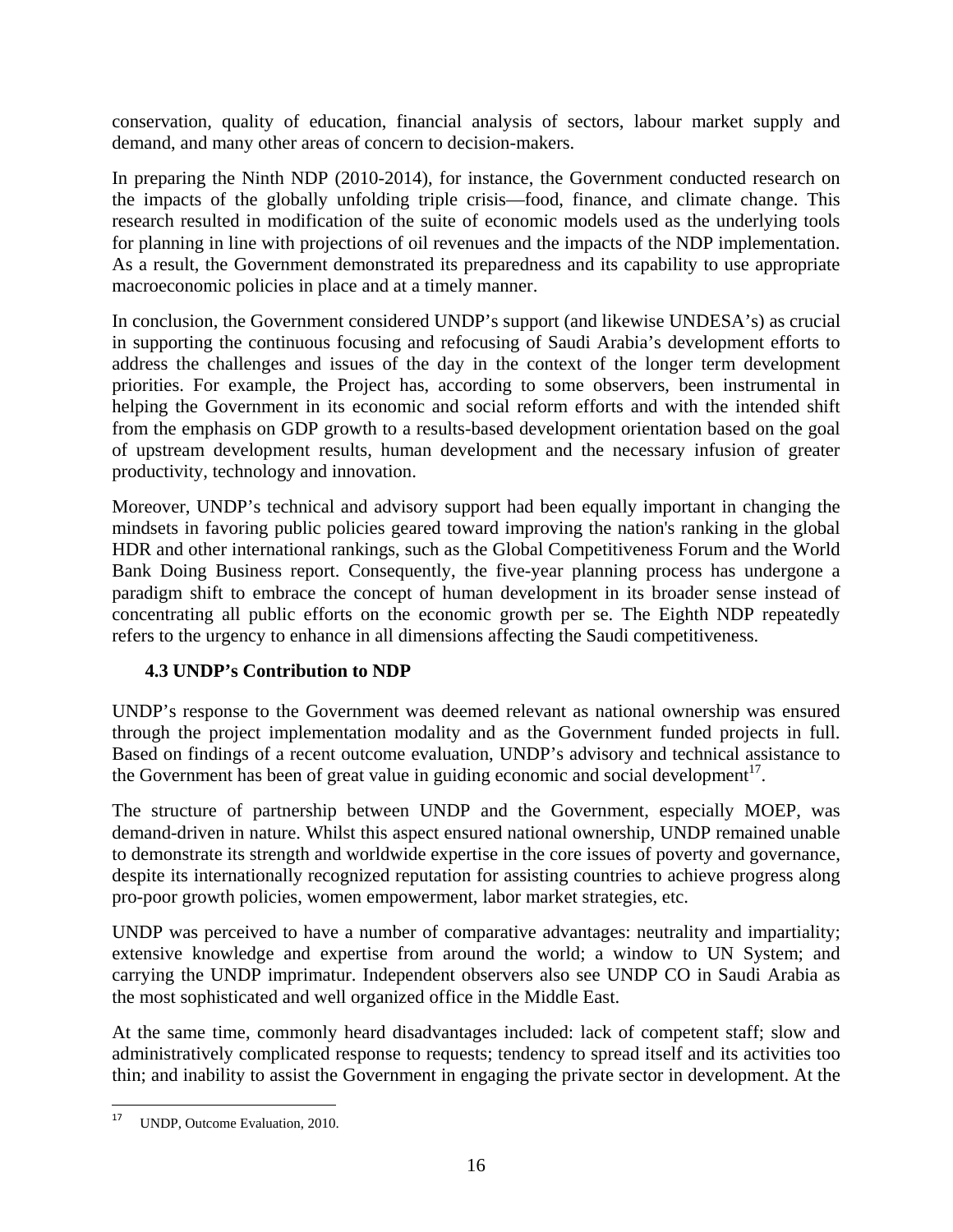conservation, quality of education, financial analysis of sectors, labour market supply and demand, and many other areas of concern to decision-makers.

In preparing the Ninth NDP (2010-2014), for instance, the Government conducted research on the impacts of the globally unfolding triple crisis—food, finance, and climate change. This research resulted in modification of the suite of economic models used as the underlying tools for planning in line with projections of oil revenues and the impacts of the NDP implementation. As a result, the Government demonstrated its preparedness and its capability to use appropriate macroeconomic policies in place and at a timely manner.

In conclusion, the Government considered UNDP's support (and likewise UNDESA's) as crucial in supporting the continuous focusing and refocusing of Saudi Arabia's development efforts to address the challenges and issues of the day in the context of the longer term development priorities. For example, the Project has, according to some observers, been instrumental in helping the Government in its economic and social reform efforts and with the intended shift from the emphasis on GDP growth to a results-based development orientation based on the goal of upstream development results, human development and the necessary infusion of greater productivity, technology and innovation.

Moreover, UNDP's technical and advisory support had been equally important in changing the mindsets in favoring public policies geared toward improving the nation's ranking in the global HDR and other international rankings, such as the Global Competitiveness Forum and the World Bank Doing Business report. Consequently, the five-year planning process has undergone a paradigm shift to embrace the concept of human development in its broader sense instead of concentrating all public efforts on the economic growth per se. The Eighth NDP repeatedly refers to the urgency to enhance in all dimensions affecting the Saudi competitiveness.

#### **4.3 UNDP's Contribution to NDP**

UNDP's response to the Government was deemed relevant as national ownership was ensured through the project implementation modality and as the Government funded projects in full. Based on findings of a recent outcome evaluation, UNDP's advisory and technical assistance to the Government has been of great value in guiding economic and social development<sup>17</sup>.

The structure of partnership between UNDP and the Government, especially MOEP, was demand-driven in nature. Whilst this aspect ensured national ownership, UNDP remained unable to demonstrate its strength and worldwide expertise in the core issues of poverty and governance, despite its internationally recognized reputation for assisting countries to achieve progress along pro-poor growth policies, women empowerment, labor market strategies, etc.

UNDP was perceived to have a number of comparative advantages: neutrality and impartiality; extensive knowledge and expertise from around the world; a window to UN System; and carrying the UNDP imprimatur. Independent observers also see UNDP CO in Saudi Arabia as the most sophisticated and well organized office in the Middle East.

At the same time, commonly heard disadvantages included: lack of competent staff; slow and administratively complicated response to requests; tendency to spread itself and its activities too thin; and inability to assist the Government in engaging the private sector in development. At the

 <sup>17</sup> UNDP, Outcome Evaluation, 2010.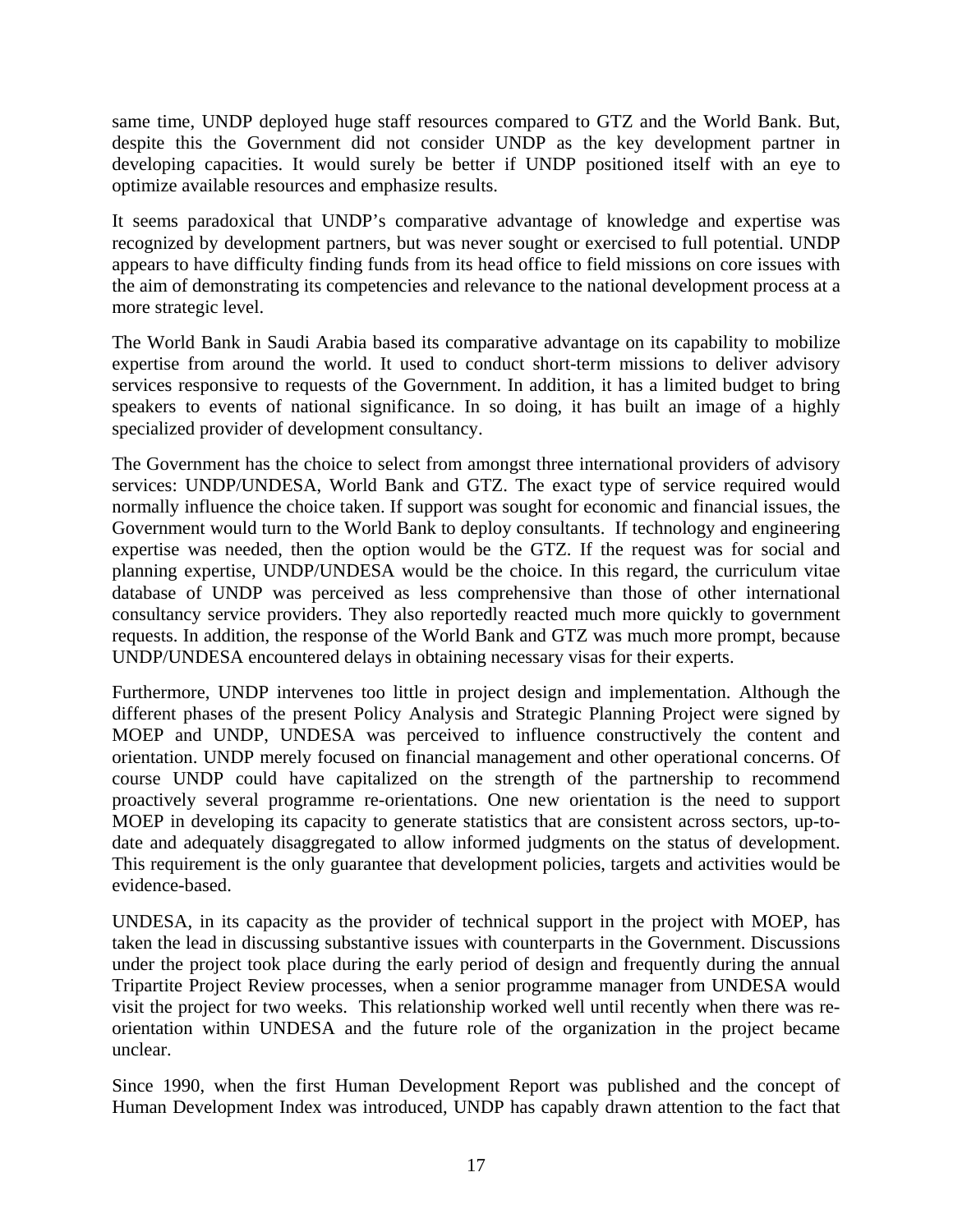same time, UNDP deployed huge staff resources compared to GTZ and the World Bank. But, despite this the Government did not consider UNDP as the key development partner in developing capacities. It would surely be better if UNDP positioned itself with an eye to optimize available resources and emphasize results.

It seems paradoxical that UNDP's comparative advantage of knowledge and expertise was recognized by development partners, but was never sought or exercised to full potential. UNDP appears to have difficulty finding funds from its head office to field missions on core issues with the aim of demonstrating its competencies and relevance to the national development process at a more strategic level.

The World Bank in Saudi Arabia based its comparative advantage on its capability to mobilize expertise from around the world. It used to conduct short-term missions to deliver advisory services responsive to requests of the Government. In addition, it has a limited budget to bring speakers to events of national significance. In so doing, it has built an image of a highly specialized provider of development consultancy.

The Government has the choice to select from amongst three international providers of advisory services: UNDP/UNDESA, World Bank and GTZ. The exact type of service required would normally influence the choice taken. If support was sought for economic and financial issues, the Government would turn to the World Bank to deploy consultants. If technology and engineering expertise was needed, then the option would be the GTZ. If the request was for social and planning expertise, UNDP/UNDESA would be the choice. In this regard, the curriculum vitae database of UNDP was perceived as less comprehensive than those of other international consultancy service providers. They also reportedly reacted much more quickly to government requests. In addition, the response of the World Bank and GTZ was much more prompt, because UNDP/UNDESA encountered delays in obtaining necessary visas for their experts.

Furthermore, UNDP intervenes too little in project design and implementation. Although the different phases of the present Policy Analysis and Strategic Planning Project were signed by MOEP and UNDP, UNDESA was perceived to influence constructively the content and orientation. UNDP merely focused on financial management and other operational concerns. Of course UNDP could have capitalized on the strength of the partnership to recommend proactively several programme re-orientations. One new orientation is the need to support MOEP in developing its capacity to generate statistics that are consistent across sectors, up-todate and adequately disaggregated to allow informed judgments on the status of development. This requirement is the only guarantee that development policies, targets and activities would be evidence-based.

UNDESA, in its capacity as the provider of technical support in the project with MOEP, has taken the lead in discussing substantive issues with counterparts in the Government. Discussions under the project took place during the early period of design and frequently during the annual Tripartite Project Review processes, when a senior programme manager from UNDESA would visit the project for two weeks. This relationship worked well until recently when there was reorientation within UNDESA and the future role of the organization in the project became unclear.

Since 1990, when the first Human Development Report was published and the concept of Human Development Index was introduced, UNDP has capably drawn attention to the fact that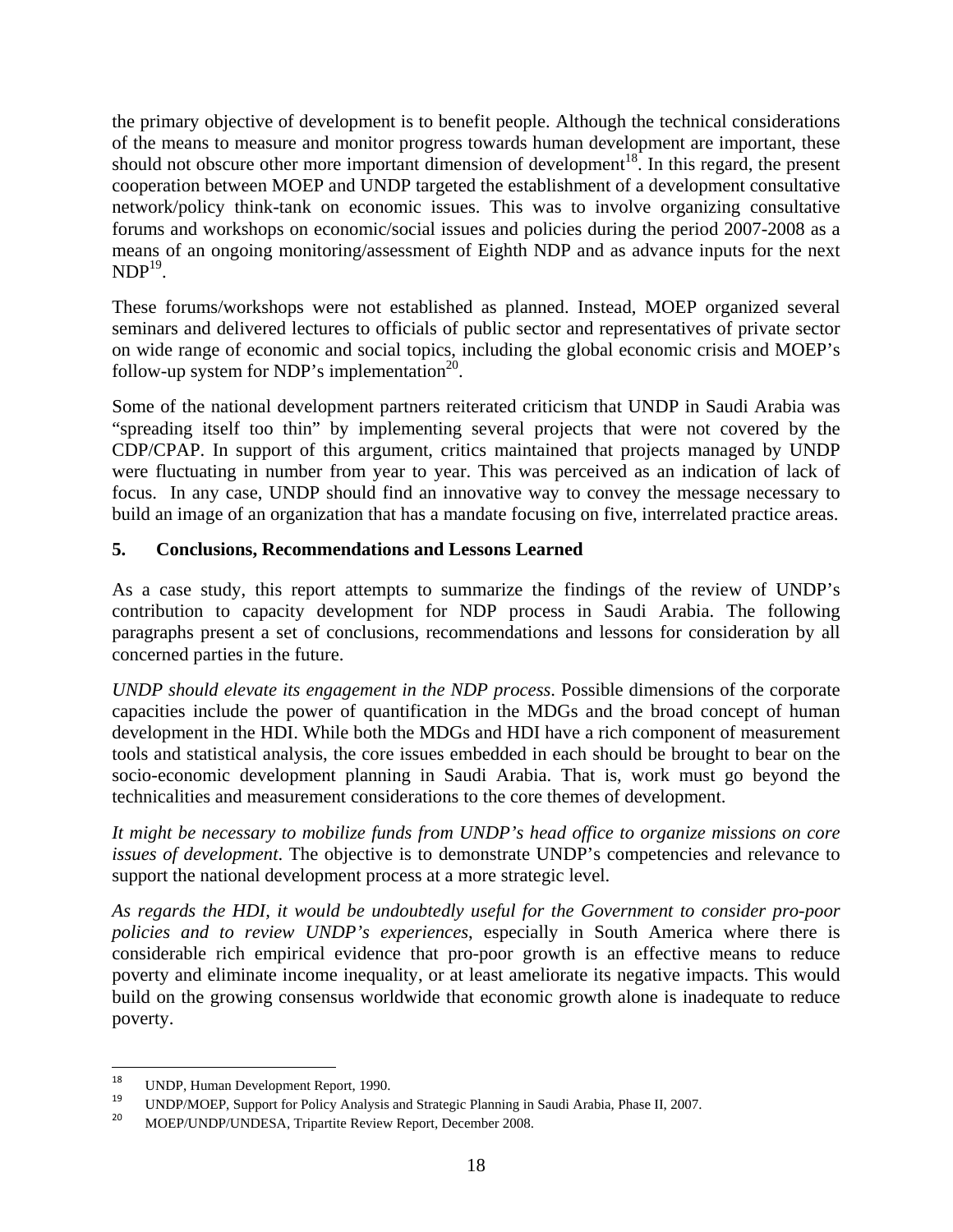the primary objective of development is to benefit people. Although the technical considerations of the means to measure and monitor progress towards human development are important, these should not obscure other more important dimension of development<sup>18</sup>. In this regard, the present cooperation between MOEP and UNDP targeted the establishment of a development consultative network/policy think-tank on economic issues. This was to involve organizing consultative forums and workshops on economic/social issues and policies during the period 2007-2008 as a means of an ongoing monitoring/assessment of Eighth NDP and as advance inputs for the next  $NDP<sup>19</sup>$ .

These forums/workshops were not established as planned. Instead, MOEP organized several seminars and delivered lectures to officials of public sector and representatives of private sector on wide range of economic and social topics, including the global economic crisis and MOEP's follow-up system for NDP's implementation<sup>20</sup>.

Some of the national development partners reiterated criticism that UNDP in Saudi Arabia was "spreading itself too thin" by implementing several projects that were not covered by the CDP/CPAP. In support of this argument, critics maintained that projects managed by UNDP were fluctuating in number from year to year. This was perceived as an indication of lack of focus. In any case, UNDP should find an innovative way to convey the message necessary to build an image of an organization that has a mandate focusing on five, interrelated practice areas.

#### **5. Conclusions, Recommendations and Lessons Learned**

As a case study, this report attempts to summarize the findings of the review of UNDP's contribution to capacity development for NDP process in Saudi Arabia. The following paragraphs present a set of conclusions, recommendations and lessons for consideration by all concerned parties in the future.

*UNDP should elevate its engagement in the NDP process*. Possible dimensions of the corporate capacities include the power of quantification in the MDGs and the broad concept of human development in the HDI. While both the MDGs and HDI have a rich component of measurement tools and statistical analysis, the core issues embedded in each should be brought to bear on the socio-economic development planning in Saudi Arabia. That is, work must go beyond the technicalities and measurement considerations to the core themes of development.

*It might be necessary to mobilize funds from UNDP's head office to organize missions on core issues of development*. The objective is to demonstrate UNDP's competencies and relevance to support the national development process at a more strategic level.

*As regards the HDI, it would be undoubtedly useful for the Government to consider pro-poor policies and to review UNDP's experiences*, especially in South America where there is considerable rich empirical evidence that pro-poor growth is an effective means to reduce poverty and eliminate income inequality, or at least ameliorate its negative impacts. This would build on the growing consensus worldwide that economic growth alone is inadequate to reduce poverty.

<sup>&</sup>lt;sup>18</sup> UNDP, Human Development Report, 1990.<br><sup>19</sup> UNDP/MOEP, Support for Policy Analysis and Strategic Planning in Saudi Arabia, Phase II, 2007.<br><sup>20</sup> MOEP/UNDP/UNDESA, Tripartite Review Report, December 2008.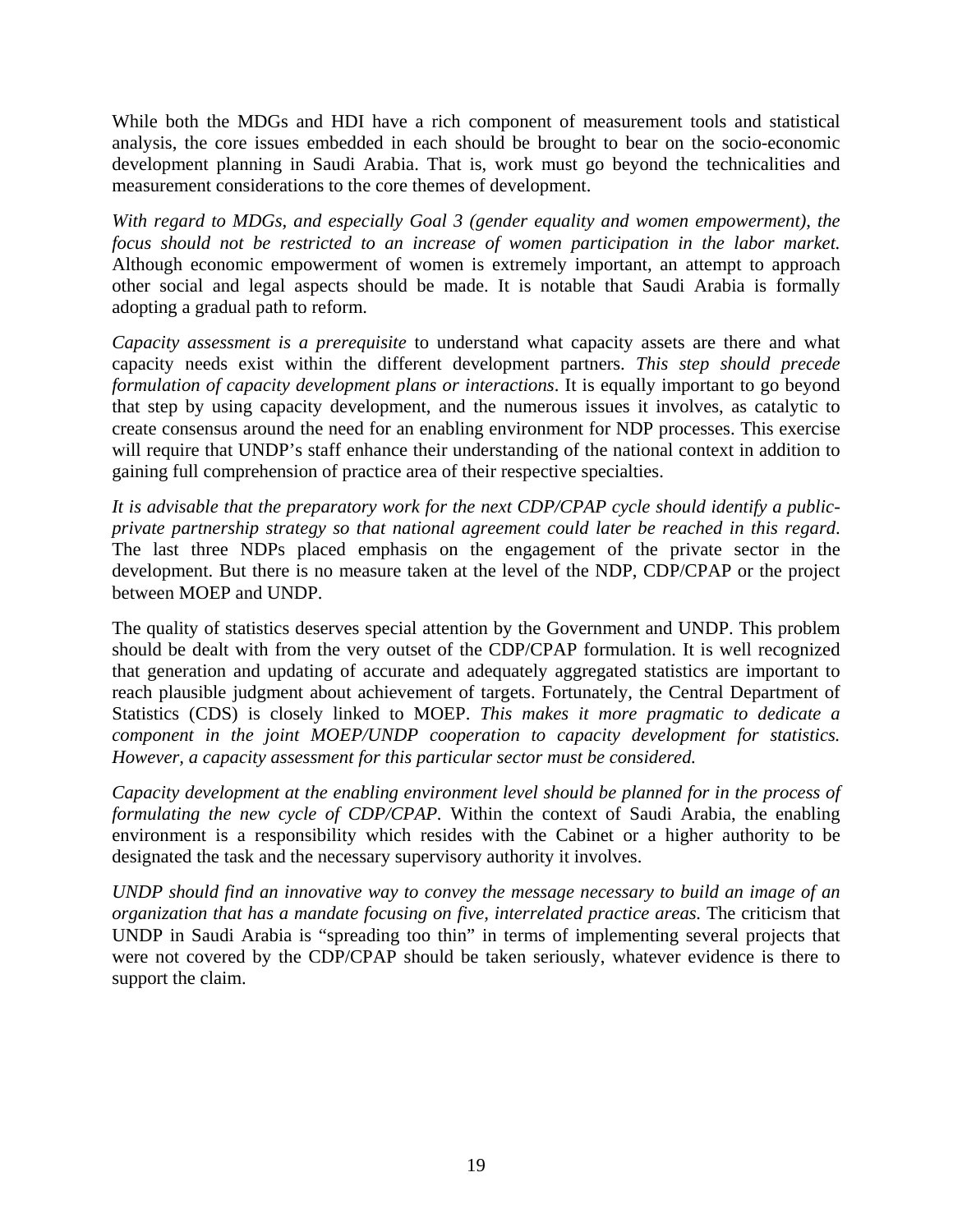While both the MDGs and HDI have a rich component of measurement tools and statistical analysis, the core issues embedded in each should be brought to bear on the socio-economic development planning in Saudi Arabia. That is, work must go beyond the technicalities and measurement considerations to the core themes of development.

*With regard to MDGs, and especially Goal 3 (gender equality and women empowerment), the focus should not be restricted to an increase of women participation in the labor market.* Although economic empowerment of women is extremely important, an attempt to approach other social and legal aspects should be made. It is notable that Saudi Arabia is formally adopting a gradual path to reform.

*Capacity assessment is a prerequisite* to understand what capacity assets are there and what capacity needs exist within the different development partners. *This step should precede formulation of capacity development plans or interactions*. It is equally important to go beyond that step by using capacity development, and the numerous issues it involves, as catalytic to create consensus around the need for an enabling environment for NDP processes. This exercise will require that UNDP's staff enhance their understanding of the national context in addition to gaining full comprehension of practice area of their respective specialties.

*It is advisable that the preparatory work for the next CDP/CPAP cycle should identify a publicprivate partnership strategy so that national agreement could later be reached in this regard*. The last three NDPs placed emphasis on the engagement of the private sector in the development. But there is no measure taken at the level of the NDP, CDP/CPAP or the project between MOEP and UNDP.

The quality of statistics deserves special attention by the Government and UNDP. This problem should be dealt with from the very outset of the CDP/CPAP formulation. It is well recognized that generation and updating of accurate and adequately aggregated statistics are important to reach plausible judgment about achievement of targets. Fortunately, the Central Department of Statistics (CDS) is closely linked to MOEP. *This makes it more pragmatic to dedicate a component in the joint MOEP/UNDP cooperation to capacity development for statistics. However, a capacity assessment for this particular sector must be considered.*

*Capacity development at the enabling environment level should be planned for in the process of formulating the new cycle of CDP/CPAP.* Within the context of Saudi Arabia, the enabling environment is a responsibility which resides with the Cabinet or a higher authority to be designated the task and the necessary supervisory authority it involves.

*UNDP should find an innovative way to convey the message necessary to build an image of an organization that has a mandate focusing on five, interrelated practice areas.* The criticism that UNDP in Saudi Arabia is "spreading too thin" in terms of implementing several projects that were not covered by the CDP/CPAP should be taken seriously, whatever evidence is there to support the claim.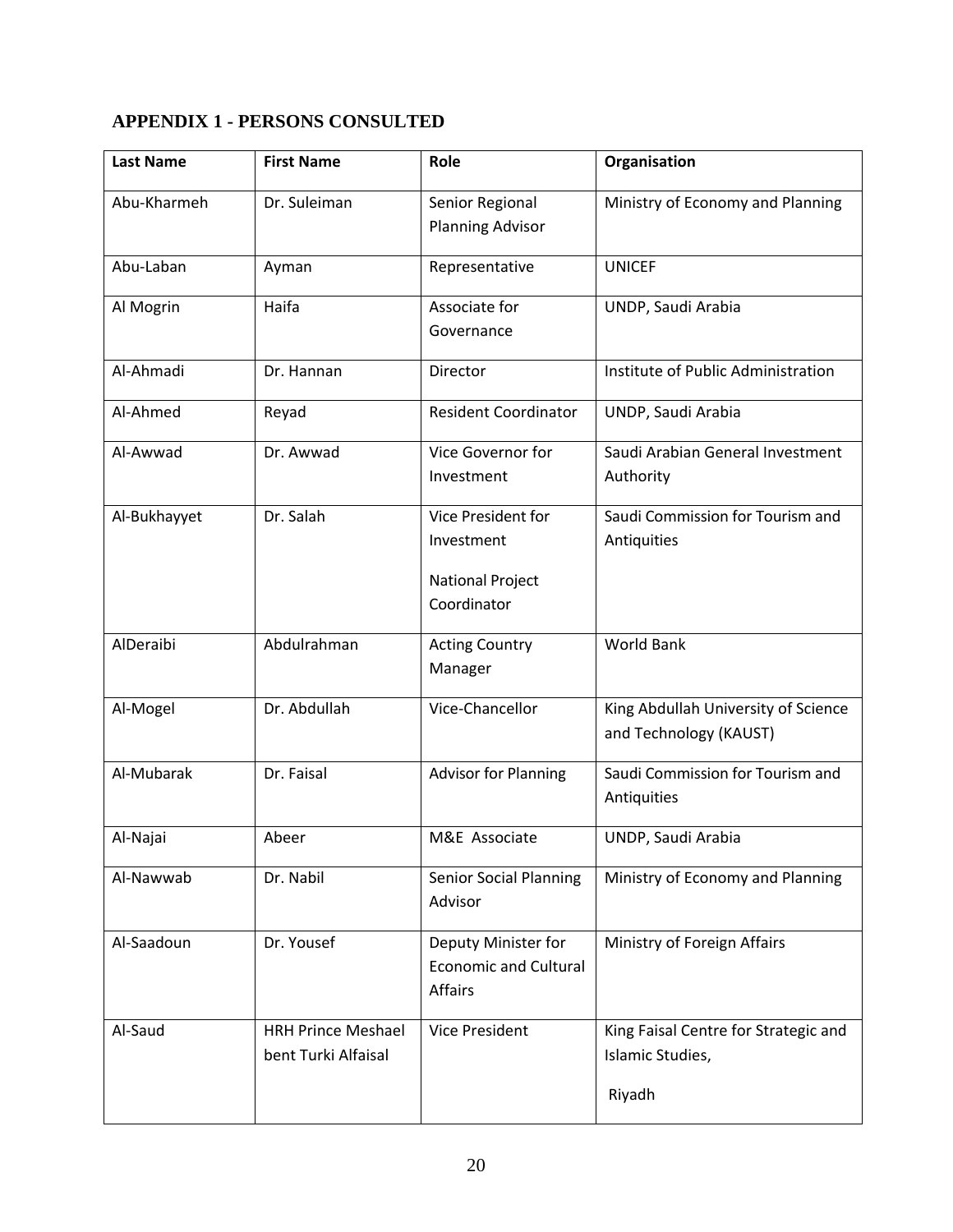## **APPENDIX 1 - PERSONS CONSULTED**

| <b>Last Name</b> | <b>First Name</b>                                | Role                                                                       | Organisation                                                       |
|------------------|--------------------------------------------------|----------------------------------------------------------------------------|--------------------------------------------------------------------|
| Abu-Kharmeh      | Dr. Suleiman                                     | Senior Regional<br><b>Planning Advisor</b>                                 | Ministry of Economy and Planning                                   |
| Abu-Laban        | Ayman                                            | Representative                                                             | <b>UNICEF</b>                                                      |
| Al Mogrin        | Haifa                                            | Associate for<br>Governance                                                | UNDP, Saudi Arabia                                                 |
| Al-Ahmadi        | Dr. Hannan                                       | Director                                                                   | Institute of Public Administration                                 |
| Al-Ahmed         | Reyad                                            | <b>Resident Coordinator</b>                                                | UNDP, Saudi Arabia                                                 |
| Al-Awwad         | Dr. Awwad                                        | Vice Governor for<br>Investment                                            | Saudi Arabian General Investment<br>Authority                      |
| Al-Bukhayyet     | Dr. Salah                                        | Vice President for<br>Investment<br><b>National Project</b><br>Coordinator | Saudi Commission for Tourism and<br>Antiquities                    |
| AlDeraibi        | Abdulrahman                                      | <b>Acting Country</b><br>Manager                                           | <b>World Bank</b>                                                  |
| Al-Mogel         | Dr. Abdullah                                     | Vice-Chancellor                                                            | King Abdullah University of Science<br>and Technology (KAUST)      |
| Al-Mubarak       | Dr. Faisal                                       | <b>Advisor for Planning</b>                                                | Saudi Commission for Tourism and<br>Antiquities                    |
| Al-Najai         | Abeer                                            | M&E Associate                                                              | UNDP, Saudi Arabia                                                 |
| Al-Nawwab        | Dr. Nabil                                        | <b>Senior Social Planning</b><br>Advisor                                   | Ministry of Economy and Planning                                   |
| Al-Saadoun       | Dr. Yousef                                       | Deputy Minister for<br><b>Economic and Cultural</b><br>Affairs             | Ministry of Foreign Affairs                                        |
| Al-Saud          | <b>HRH Prince Meshael</b><br>bent Turki Alfaisal | <b>Vice President</b>                                                      | King Faisal Centre for Strategic and<br>Islamic Studies,<br>Riyadh |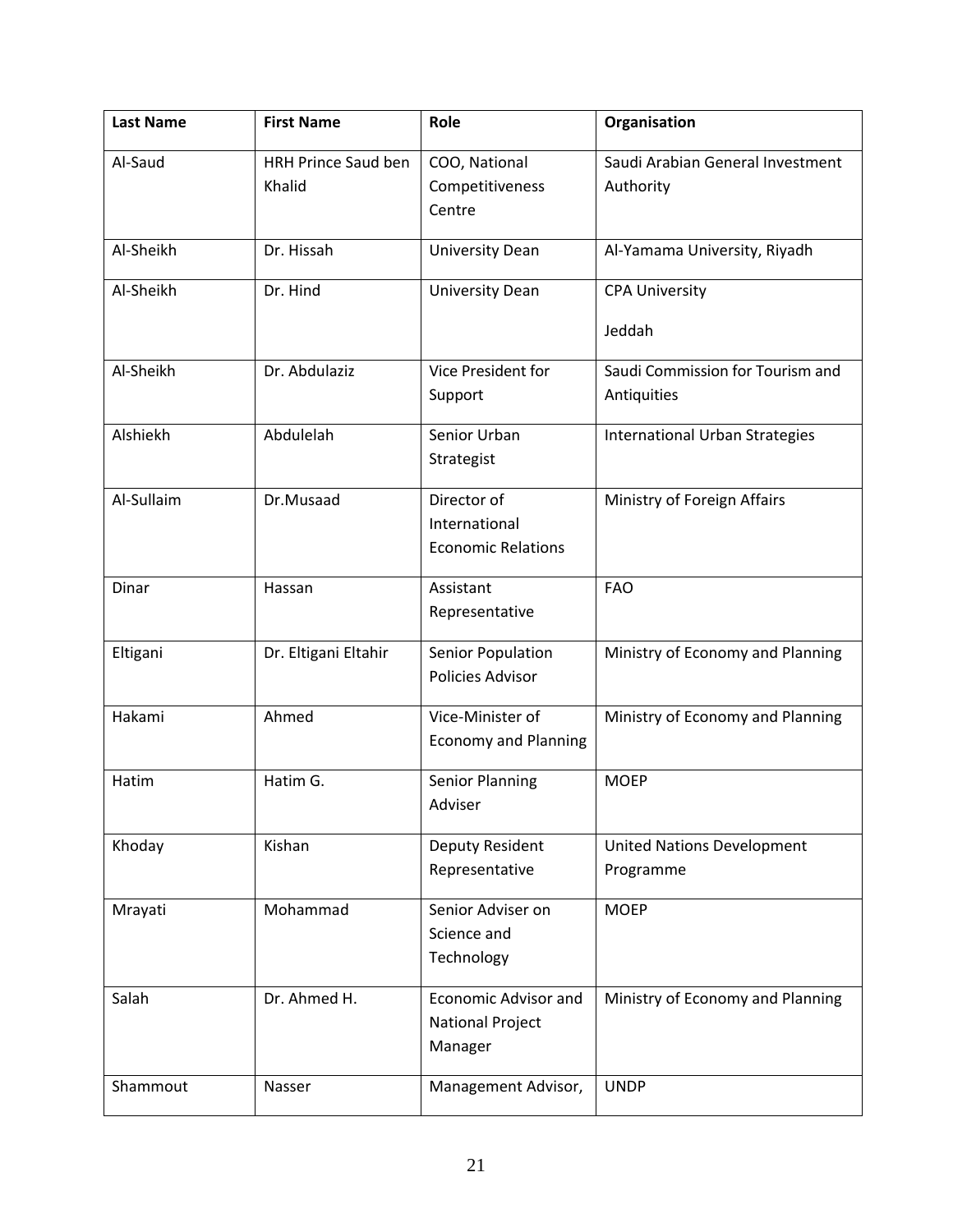| <b>Last Name</b> | <b>First Name</b>                    | Role                                                              | Organisation                                    |
|------------------|--------------------------------------|-------------------------------------------------------------------|-------------------------------------------------|
| Al-Saud          | <b>HRH Prince Saud ben</b><br>Khalid | COO, National<br>Competitiveness<br>Centre                        | Saudi Arabian General Investment<br>Authority   |
| Al-Sheikh        | Dr. Hissah                           | <b>University Dean</b>                                            | Al-Yamama University, Riyadh                    |
| Al-Sheikh        | Dr. Hind                             | <b>University Dean</b>                                            | <b>CPA University</b><br>Jeddah                 |
| Al-Sheikh        | Dr. Abdulaziz                        | Vice President for<br>Support                                     | Saudi Commission for Tourism and<br>Antiquities |
| Alshiekh         | Abdulelah                            | Senior Urban<br>Strategist                                        | <b>International Urban Strategies</b>           |
| Al-Sullaim       | Dr.Musaad                            | Director of<br>International<br><b>Economic Relations</b>         | Ministry of Foreign Affairs                     |
| Dinar            | Hassan                               | Assistant<br>Representative                                       | <b>FAO</b>                                      |
| Eltigani         | Dr. Eltigani Eltahir                 | Senior Population<br>Policies Advisor                             | Ministry of Economy and Planning                |
| Hakami           | Ahmed                                | Vice-Minister of<br><b>Economy and Planning</b>                   | Ministry of Economy and Planning                |
| Hatim            | Hatim G.                             | <b>Senior Planning</b><br>Adviser                                 | <b>MOEP</b>                                     |
| Khoday           | Kishan                               | Deputy Resident<br>Representative                                 | <b>United Nations Development</b><br>Programme  |
| Mrayati          | Mohammad                             | Senior Adviser on<br>Science and<br>Technology                    | <b>MOEP</b>                                     |
| Salah            | Dr. Ahmed H.                         | <b>Economic Advisor and</b><br><b>National Project</b><br>Manager | Ministry of Economy and Planning                |
| Shammout         | Nasser                               | Management Advisor,                                               | <b>UNDP</b>                                     |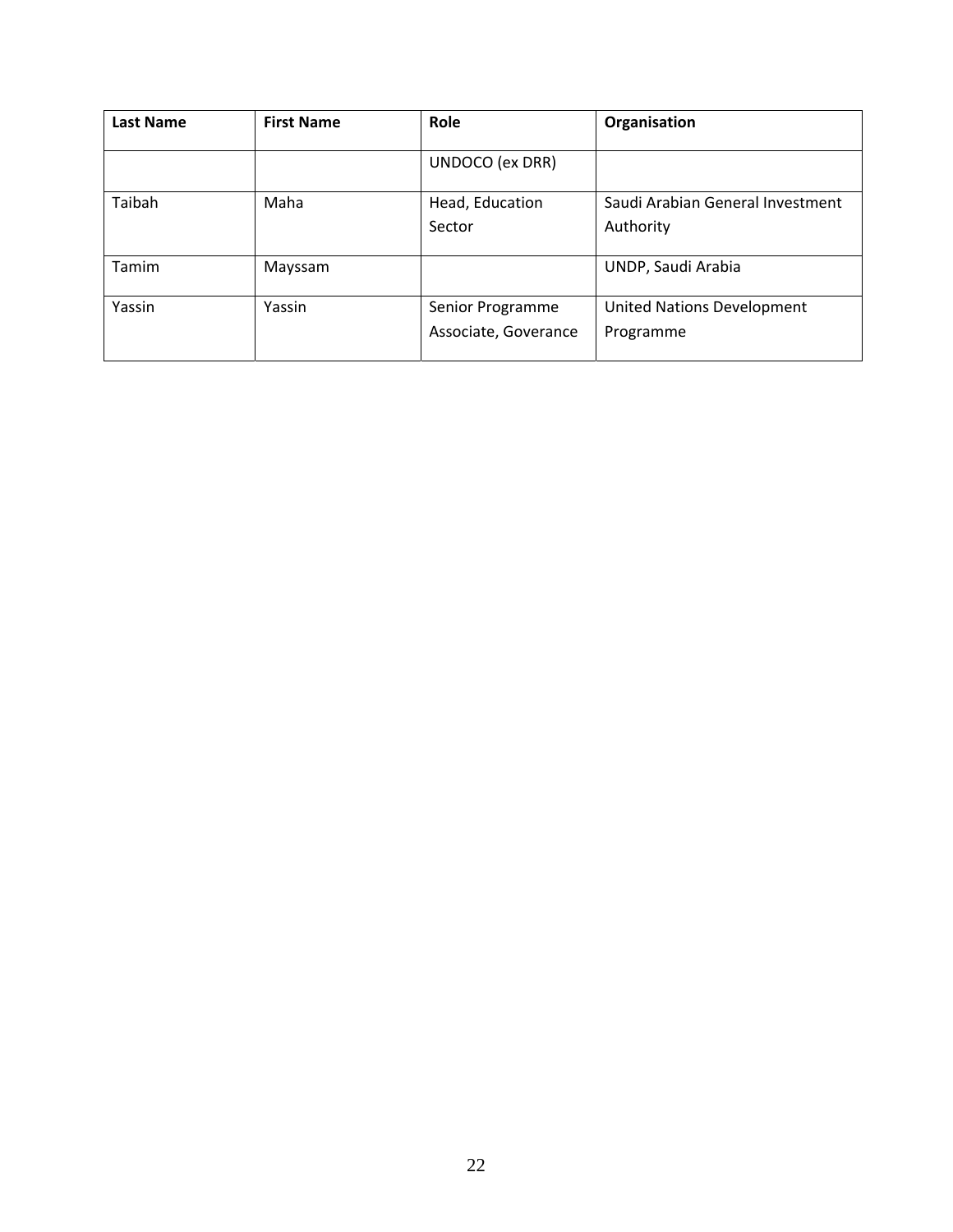| <b>Last Name</b> | <b>First Name</b> | Role                      | Organisation                                  |
|------------------|-------------------|---------------------------|-----------------------------------------------|
|                  |                   | UNDOCO (ex DRR)           |                                               |
| Taibah           | Maha              | Head, Education<br>Sector | Saudi Arabian General Investment<br>Authority |
|                  |                   |                           |                                               |
| Tamim            | Mayssam           |                           | UNDP, Saudi Arabia                            |
| Yassin           | Yassin            | Senior Programme          | <b>United Nations Development</b>             |
|                  |                   | Associate, Goverance      | Programme                                     |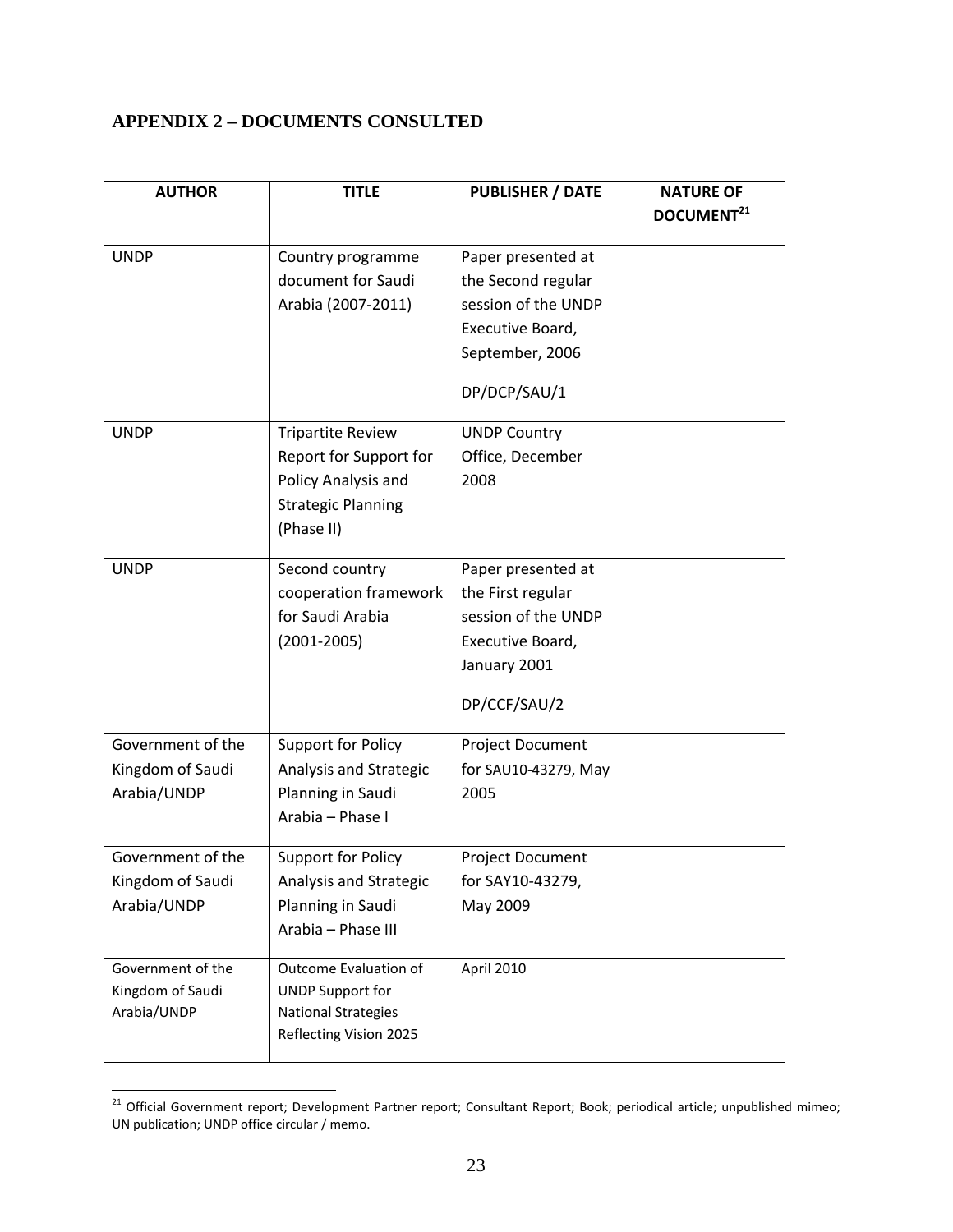### **APPENDIX 2 – DOCUMENTS CONSULTED**

| DOCUMENT <sup>21</sup><br><b>UNDP</b><br>Country programme<br>Paper presented at<br>document for Saudi<br>the Second regular<br>session of the UNDP<br>Arabia (2007-2011)<br>Executive Board,<br>September, 2006<br>DP/DCP/SAU/1<br><b>Tripartite Review</b><br><b>UNDP</b><br><b>UNDP Country</b><br>Report for Support for<br>Office, December | <b>AUTHOR</b> | <b>TITLE</b> | <b>PUBLISHER / DATE</b> | <b>NATURE OF</b> |
|--------------------------------------------------------------------------------------------------------------------------------------------------------------------------------------------------------------------------------------------------------------------------------------------------------------------------------------------------|---------------|--------------|-------------------------|------------------|
|                                                                                                                                                                                                                                                                                                                                                  |               |              |                         |                  |
|                                                                                                                                                                                                                                                                                                                                                  |               |              |                         |                  |
|                                                                                                                                                                                                                                                                                                                                                  |               |              |                         |                  |
|                                                                                                                                                                                                                                                                                                                                                  |               |              |                         |                  |
|                                                                                                                                                                                                                                                                                                                                                  |               |              |                         |                  |
|                                                                                                                                                                                                                                                                                                                                                  |               |              |                         |                  |
|                                                                                                                                                                                                                                                                                                                                                  |               |              |                         |                  |
|                                                                                                                                                                                                                                                                                                                                                  |               |              |                         |                  |
|                                                                                                                                                                                                                                                                                                                                                  |               |              |                         |                  |
|                                                                                                                                                                                                                                                                                                                                                  |               |              |                         |                  |
| Policy Analysis and<br>2008                                                                                                                                                                                                                                                                                                                      |               |              |                         |                  |
| <b>Strategic Planning</b>                                                                                                                                                                                                                                                                                                                        |               |              |                         |                  |
| (Phase II)                                                                                                                                                                                                                                                                                                                                       |               |              |                         |                  |
|                                                                                                                                                                                                                                                                                                                                                  |               |              |                         |                  |
| <b>UNDP</b><br>Second country<br>Paper presented at                                                                                                                                                                                                                                                                                              |               |              |                         |                  |
| the First regular<br>cooperation framework                                                                                                                                                                                                                                                                                                       |               |              |                         |                  |
| for Saudi Arabia<br>session of the UNDP                                                                                                                                                                                                                                                                                                          |               |              |                         |                  |
| $(2001 - 2005)$<br>Executive Board,                                                                                                                                                                                                                                                                                                              |               |              |                         |                  |
| January 2001                                                                                                                                                                                                                                                                                                                                     |               |              |                         |                  |
| DP/CCF/SAU/2                                                                                                                                                                                                                                                                                                                                     |               |              |                         |                  |
|                                                                                                                                                                                                                                                                                                                                                  |               |              |                         |                  |
| Government of the<br>Support for Policy<br>Project Document                                                                                                                                                                                                                                                                                      |               |              |                         |                  |
| Kingdom of Saudi<br>Analysis and Strategic<br>for SAU10-43279, May                                                                                                                                                                                                                                                                               |               |              |                         |                  |
| Planning in Saudi<br>Arabia/UNDP<br>2005                                                                                                                                                                                                                                                                                                         |               |              |                         |                  |
| Arabia - Phase I                                                                                                                                                                                                                                                                                                                                 |               |              |                         |                  |
| Government of the<br><b>Support for Policy</b><br>Project Document                                                                                                                                                                                                                                                                               |               |              |                         |                  |
| Kingdom of Saudi<br>Analysis and Strategic<br>for SAY10-43279,                                                                                                                                                                                                                                                                                   |               |              |                         |                  |
| Arabia/UNDP<br>Planning in Saudi<br>May 2009                                                                                                                                                                                                                                                                                                     |               |              |                         |                  |
| Arabia - Phase III                                                                                                                                                                                                                                                                                                                               |               |              |                         |                  |
|                                                                                                                                                                                                                                                                                                                                                  |               |              |                         |                  |
| Government of the<br>Outcome Evaluation of<br>April 2010                                                                                                                                                                                                                                                                                         |               |              |                         |                  |
| Kingdom of Saudi<br><b>UNDP Support for</b>                                                                                                                                                                                                                                                                                                      |               |              |                         |                  |
| Arabia/UNDP<br><b>National Strategies</b>                                                                                                                                                                                                                                                                                                        |               |              |                         |                  |
| Reflecting Vision 2025                                                                                                                                                                                                                                                                                                                           |               |              |                         |                  |

<sup>&</sup>lt;sup>21</sup> Official Government report; Development Partner report; Consultant Report; Book; periodical article; unpublished mimeo; UN publication; UNDP office circular / memo.